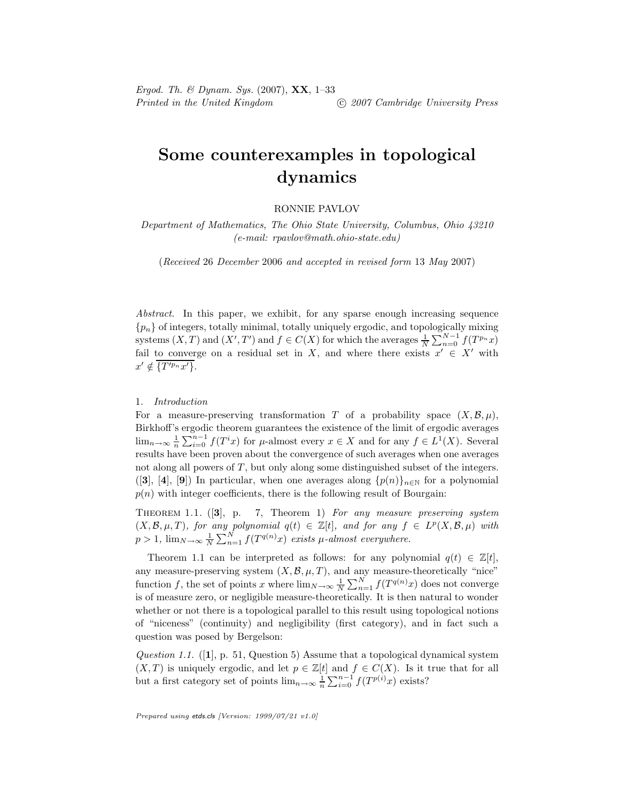Ergod. Th. & Dynam. Sys.  $(2007)$ ,  $XX$ , 1-33 Printed in the United Kingdom (C) 2007 Cambridge University Press

# Some counterexamples in topological dynamics

## RONNIE PAVLOV

Department of Mathematics, The Ohio State University, Columbus, Ohio 43210 (e-mail: rpavlov@math.ohio-state.edu)

(Received 26 December 2006 and accepted in revised form 13 May 2007)

Abstract. In this paper, we exhibit, for any sparse enough increasing sequence  ${p_n}$  of integers, totally minimal, totally uniquely ergodic, and topologically mixing systems  $(X, T)$  and  $(X', T')$  and  $f \in C(X)$  for which the averages  $\frac{1}{N} \sum_{n=0}^{N-1} f(T^{p_n}x)$ fail to converge on a residual set in X, and where there exists  $x' \in X'$  with  $x' \notin \{T'^{p_n}x'\}.$ 

## 1. Introduction

For a measure-preserving transformation T of a probability space  $(X, \mathcal{B}, \mu)$ , Birkhoff's ergodic theorem guarantees the existence of the limit of ergodic averages  $\lim_{n\to\infty}\frac{1}{n}\sum_{i=0}^{n-1}f(T^ix)$  for  $\mu$ -almost every  $x\in X$  and for any  $f\in L^1(X)$ . Several results have been proven about the convergence of such averages when one averages not along all powers of  $T$ , but only along some distinguished subset of the integers. ([3], [4], [9]) In particular, when one averages along  $\{p(n)\}_{n\in\mathbb{N}}$  for a polynomial  $p(n)$  with integer coefficients, there is the following result of Bourgain:

THEOREM 1.1.  $(|3|, p. 7, Theorem 1)$  For any measure preserving system  $(X, \mathcal{B}, \mu, T)$ , for any polynomial  $q(t) \in \mathbb{Z}[t]$ , and for any  $f \in L^p(X, \mathcal{B}, \mu)$  with  $p > 1$ ,  $\lim_{N \to \infty} \frac{1}{N} \sum_{n=1}^{N} f(T^{q(n)}x)$  exists  $\mu$ -almost everywhere.

Theorem 1.1 can be interpreted as follows: for any polynomial  $q(t) \in \mathbb{Z}[t]$ , any measure-preserving system  $(X, \mathcal{B}, \mu, T)$ , and any measure-theoretically "nice" function f, the set of points x where  $\lim_{N\to\infty}\frac{1}{N}\sum_{n=1}^{N}f(T^{q(n)}x)$  does not converge is of measure zero, or negligible measure-theoretically. It is then natural to wonder whether or not there is a topological parallel to this result using topological notions of "niceness" (continuity) and negligibility (first category), and in fact such a question was posed by Bergelson:

Question 1.1. ([1], p. 51, Question 5) Assume that a topological dynamical system  $(X, T)$  is uniquely ergodic, and let  $p \in \mathbb{Z}[t]$  and  $f \in C(X)$ . Is it true that for all but a first category set of points  $\lim_{n\to\infty} \frac{1}{n} \sum_{i=0}^{n-1} f(T^{p(i)}x)$  exists?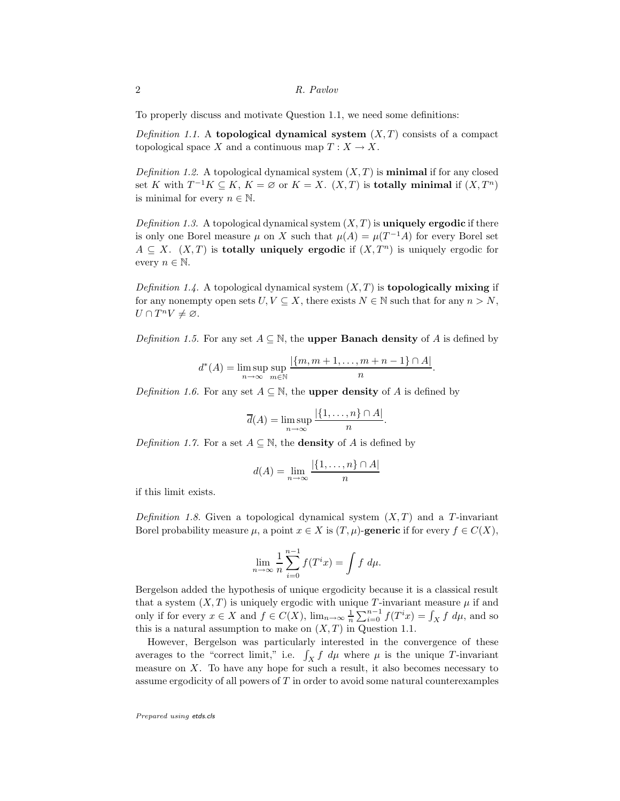To properly discuss and motivate Question 1.1, we need some definitions:

Definition 1.1. A topological dynamical system  $(X, T)$  consists of a compact topological space X and a continuous map  $T: X \to X$ .

Definition 1.2. A topological dynamical system  $(X, T)$  is **minimal** if for any closed set K with  $T^{-1}K \subseteq K$ ,  $K = \emptyset$  or  $K = X$ .  $(X,T)$  is **totally minimal** if  $(X,T^n)$ is minimal for every  $n \in \mathbb{N}$ .

Definition 1.3. A topological dynamical system  $(X, T)$  is **uniquely ergodic** if there is only one Borel measure  $\mu$  on X such that  $\mu(A) = \mu(T^{-1}A)$  for every Borel set  $A \subseteq X$ .  $(X, T)$  is **totally uniquely ergodic** if  $(X, T^n)$  is uniquely ergodic for every  $n \in \mathbb{N}$ .

Definition 1.4. A topological dynamical system  $(X, T)$  is **topologically mixing** if for any nonempty open sets  $U, V \subseteq X$ , there exists  $N \in \mathbb{N}$  such that for any  $n > N$ ,  $U \cap T^n V \neq \varnothing$ .

Definition 1.5. For any set  $A \subseteq \mathbb{N}$ , the **upper Banach density** of A is defined by

$$
d^*(A) = \limsup_{n \to \infty} \sup_{m \in \mathbb{N}} \frac{|\{m, m+1, \dots, m+n-1\} \cap A|}{n}.
$$

Definition 1.6. For any set  $A \subseteq \mathbb{N}$ , the **upper density** of A is defined by

$$
\overline{d}(A) = \limsup_{n \to \infty} \frac{|\{1, \dots, n\} \cap A|}{n}.
$$

*Definition 1.7.* For a set  $A \subseteq \mathbb{N}$ , the **density** of A is defined by

$$
d(A) = \lim_{n \to \infty} \frac{|\{1, \dots, n\} \cap A|}{n}
$$

if this limit exists.

Definition 1.8. Given a topological dynamical system  $(X, T)$  and a T-invariant Borel probability measure  $\mu$ , a point  $x \in X$  is  $(T, \mu)$ -generic if for every  $f \in C(X)$ ,

$$
\lim_{n \to \infty} \frac{1}{n} \sum_{i=0}^{n-1} f(T^i x) = \int f d\mu.
$$

Bergelson added the hypothesis of unique ergodicity because it is a classical result that a system  $(X, T)$  is uniquely ergodic with unique T-invariant measure  $\mu$  if and only if for every  $x \in X$  and  $f \in C(X)$ ,  $\lim_{n \to \infty} \frac{1}{n} \sum_{i=0}^{n-1} f(T^i x) = \int_X f d\mu$ , and so this is a natural assumption to make on  $(X, T)$  in Question 1.1.

However, Bergelson was particularly interested in the convergence of these averages to the "correct limit," i.e.  $\int_X f \ d\mu$  where  $\mu$  is the unique T-invariant measure on  $X$ . To have any hope for such a result, it also becomes necessary to assume ergodicity of all powers of  $T$  in order to avoid some natural counterexamples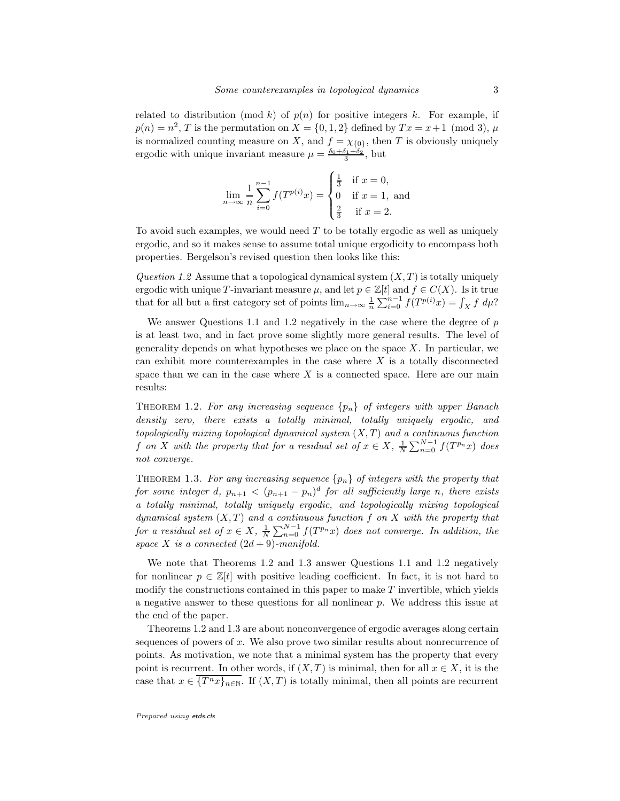related to distribution (mod k) of  $p(n)$  for positive integers k. For example, if  $p(n) = n^2$ , T is the permutation on  $X = \{0, 1, 2\}$  defined by  $Tx = x + 1 \pmod{3}$ ,  $\mu$ is normalized counting measure on X, and  $f = \chi_{\{0\}}$ , then T is obviously uniquely ergodic with unique invariant measure  $\mu = \frac{\delta_0 + \delta_1 + \delta_2}{3}$ , but

$$
\lim_{n \to \infty} \frac{1}{n} \sum_{i=0}^{n-1} f(T^{p(i)}x) = \begin{cases} \frac{1}{3} & \text{if } x = 0, \\ 0 & \text{if } x = 1, \\ \frac{2}{3} & \text{if } x = 2. \end{cases}
$$

To avoid such examples, we would need  $T$  to be totally ergodic as well as uniquely ergodic, and so it makes sense to assume total unique ergodicity to encompass both properties. Bergelson's revised question then looks like this:

Question 1.2 Assume that a topological dynamical system  $(X, T)$  is totally uniquely ergodic with unique T-invariant measure  $\mu$ , and let  $p \in \mathbb{Z}[t]$  and  $f \in C(X)$ . Is it true that for all but a first category set of points  $\lim_{n\to\infty} \frac{1}{n} \sum_{i=0}^{n-1} f(T^{p(i)}x) = \int_X f d\mu$ ?

We answer Questions 1.1 and 1.2 negatively in the case where the degree of  $p$ is at least two, and in fact prove some slightly more general results. The level of generality depends on what hypotheses we place on the space  $X$ . In particular, we can exhibit more counterexamples in the case where  $X$  is a totally disconnected space than we can in the case where  $X$  is a connected space. Here are our main results:

THEOREM 1.2. For any increasing sequence  $\{p_n\}$  of integers with upper Banach density zero, there exists a totally minimal, totally uniquely ergodic, and topologically mixing topological dynamical system  $(X, T)$  and a continuous function f on X with the property that for a residual set of  $x \in X$ ,  $\frac{1}{N} \sum_{n=0}^{N-1} f(T^{p_n}x)$  does not converge.

THEOREM 1.3. For any increasing sequence  $\{p_n\}$  of integers with the property that for some integer d,  $p_{n+1} < (p_{n+1} - p_n)^d$  for all sufficiently large n, there exists a totally minimal, totally uniquely ergodic, and topologically mixing topological dynamical system  $(X, T)$  and a continuous function f on X with the property that for a residual set of  $x \in X$ ,  $\frac{1}{N} \sum_{n=0}^{N-1} f(T^{p_n}x)$  does not converge. In addition, the space X is a connected  $(2d + 9)$ -manifold.

We note that Theorems 1.2 and 1.3 answer Questions 1.1 and 1.2 negatively for nonlinear  $p \in \mathbb{Z}[t]$  with positive leading coefficient. In fact, it is not hard to modify the constructions contained in this paper to make  $T$  invertible, which yields a negative answer to these questions for all nonlinear  $p$ . We address this issue at the end of the paper.

Theorems 1.2 and 1.3 are about nonconvergence of ergodic averages along certain sequences of powers of  $x$ . We also prove two similar results about nonrecurrence of points. As motivation, we note that a minimal system has the property that every point is recurrent. In other words, if  $(X, T)$  is minimal, then for all  $x \in X$ , it is the case that  $x \in \overline{\{T^n x\}_{n\in\mathbb{N}}}$ . If  $(X,T)$  is totally minimal, then all points are recurrent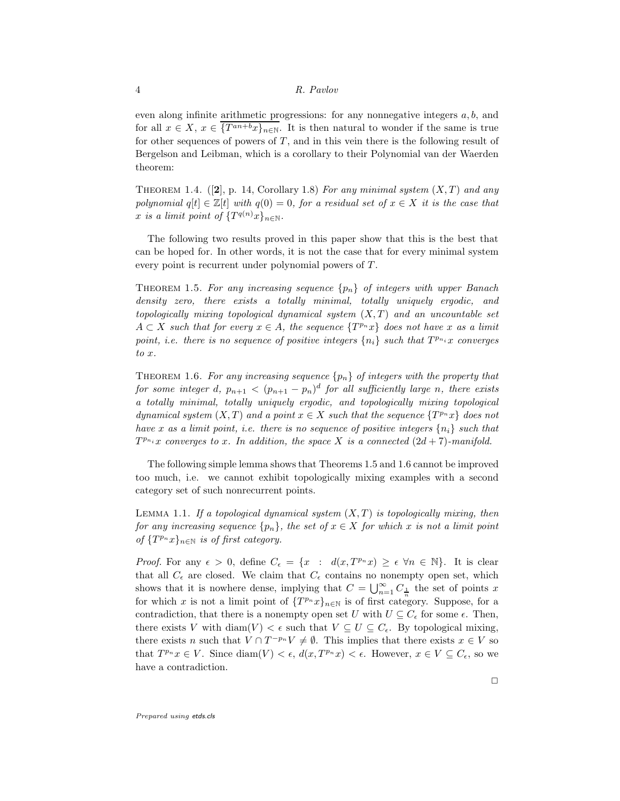even along infinite arithmetic progressions: for any nonnegative integers a, b, and for all  $x \in X$ ,  $x \in \overline{\{T^{an+b}x\}_{n\in\mathbb{N}}}$ . It is then natural to wonder if the same is true for other sequences of powers of  $T$ , and in this vein there is the following result of Bergelson and Leibman, which is a corollary to their Polynomial van der Waerden theorem:

THEOREM 1.4.  $([2], p. 14, Corollary 1.8)$  For any minimal system  $(X, T)$  and any polynomial  $q[t] \in \mathbb{Z}[t]$  with  $q(0) = 0$ , for a residual set of  $x \in X$  it is the case that x is a limit point of  $\{T^{q(n)}x\}_{n\in\mathbb{N}}$ .

The following two results proved in this paper show that this is the best that can be hoped for. In other words, it is not the case that for every minimal system every point is recurrent under polynomial powers of  $T$ .

THEOREM 1.5. For any increasing sequence  $\{p_n\}$  of integers with upper Banach density zero, there exists a totally minimal, totally uniquely ergodic, and topologically mixing topological dynamical system  $(X, T)$  and an uncountable set  $A \subset X$  such that for every  $x \in A$ , the sequence  $\{T^{p_n}x\}$  does not have x as a limit point, i.e. there is no sequence of positive integers  $\{n_i\}$  such that  $T^{p_{n_i}}x$  converges to x.

THEOREM 1.6. For any increasing sequence  ${p_n}$  of integers with the property that for some integer d,  $p_{n+1} < (p_{n+1} - p_n)^d$  for all sufficiently large n, there exists a totally minimal, totally uniquely ergodic, and topologically mixing topological dynamical system  $(X,T)$  and a point  $x \in X$  such that the sequence  $\{T^{p_n}x\}$  does not have x as a limit point, i.e. there is no sequence of positive integers  $\{n_i\}$  such that  $T^{p_{n_i}}x$  converges to x. In addition, the space X is a connected  $(2d + 7)$ -manifold.

The following simple lemma shows that Theorems 1.5 and 1.6 cannot be improved too much, i.e. we cannot exhibit topologically mixing examples with a second category set of such nonrecurrent points.

LEMMA 1.1. If a topological dynamical system  $(X, T)$  is topologically mixing, then for any increasing sequence  $\{p_n\}$ , the set of  $x \in X$  for which x is not a limit point of  $\{T^{p_n}x\}_{n\in\mathbb{N}}$  is of first category.

*Proof.* For any  $\epsilon > 0$ , define  $C_{\epsilon} = \{x : d(x, T^{p_n}x) \geq \epsilon \ \forall n \in \mathbb{N}\}\$ . It is clear that all  $C_{\epsilon}$  are closed. We claim that  $C_{\epsilon}$  contains no nonempty open set, which shows that it is nowhere dense, implying that  $C = \bigcup_{n=1}^{\infty} C_{\frac{1}{n}}$  the set of points x for which x is not a limit point of  $\{T^{p_n}x\}_{n\in\mathbb{N}}$  is of first category. Suppose, for a contradiction, that there is a nonempty open set U with  $U \subseteq C_{\epsilon}$  for some  $\epsilon$ . Then, there exists V with diam(V) <  $\epsilon$  such that  $V \subseteq U \subseteq C_{\epsilon}$ . By topological mixing, there exists n such that  $V \cap T^{-p_n}V \neq \emptyset$ . This implies that there exists  $x \in V$  so that  $T^{p_n}x \in V$ . Since  $\text{diam}(V) < \epsilon$ ,  $d(x, T^{p_n}x) < \epsilon$ . However,  $x \in V \subseteq C_{\epsilon}$ , so we have a contradiction.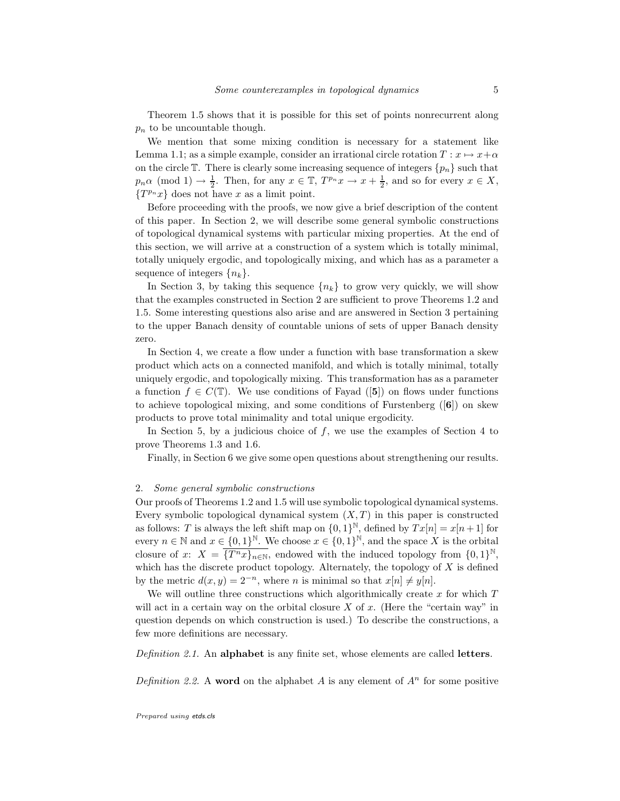Theorem 1.5 shows that it is possible for this set of points nonrecurrent along  $p_n$  to be uncountable though.

We mention that some mixing condition is necessary for a statement like Lemma 1.1; as a simple example, consider an irrational circle rotation  $T : x \mapsto x+\alpha$ on the circle T. There is clearly some increasing sequence of integers  $\{p_n\}$  such that  $p_n \alpha \pmod{1} \to \frac{1}{2}$ . Then, for any  $x \in \mathbb{T}$ ,  $T^{p_n} x \to x + \frac{1}{2}$ , and so for every  $x \in X$ ,  $\{T^{p_n}x\}$  does not have x as a limit point.

Before proceeding with the proofs, we now give a brief description of the content of this paper. In Section 2, we will describe some general symbolic constructions of topological dynamical systems with particular mixing properties. At the end of this section, we will arrive at a construction of a system which is totally minimal, totally uniquely ergodic, and topologically mixing, and which has as a parameter a sequence of integers  $\{n_k\}$ .

In Section 3, by taking this sequence  ${n_k}$  to grow very quickly, we will show that the examples constructed in Section 2 are sufficient to prove Theorems 1.2 and 1.5. Some interesting questions also arise and are answered in Section 3 pertaining to the upper Banach density of countable unions of sets of upper Banach density zero.

In Section 4, we create a flow under a function with base transformation a skew product which acts on a connected manifold, and which is totally minimal, totally uniquely ergodic, and topologically mixing. This transformation has as a parameter a function  $f \in C(\mathbb{T})$ . We use conditions of Fayad ([5]) on flows under functions to achieve topological mixing, and some conditions of Furstenberg ([6]) on skew products to prove total minimality and total unique ergodicity.

In Section 5, by a judicious choice of  $f$ , we use the examples of Section 4 to prove Theorems 1.3 and 1.6.

Finally, in Section 6 we give some open questions about strengthening our results.

#### 2. Some general symbolic constructions

Our proofs of Theorems 1.2 and 1.5 will use symbolic topological dynamical systems. Every symbolic topological dynamical system  $(X, T)$  in this paper is constructed as follows: T is always the left shift map on  $\{0, 1\}^{\mathbb{N}}$ , defined by  $Tx[n] = x[n+1]$  for every  $n \in \mathbb{N}$  and  $x \in \{0,1\}^{\mathbb{N}}$ . We choose  $x \in \{0,1\}^{\mathbb{N}}$ , and the space X is the orbital closure of x:  $X = \overline{\{T^n x\}_{n\in\mathbb{N}}}$ , endowed with the induced topology from  $\{0,1\}^{\mathbb{N}},$ which has the discrete product topology. Alternately, the topology of  $X$  is defined by the metric  $d(x, y) = 2^{-n}$ , where *n* is minimal so that  $x[n] \neq y[n]$ .

We will outline three constructions which algorithmically create  $x$  for which  $T$ will act in a certain way on the orbital closure  $X$  of  $x$ . (Here the "certain way" in question depends on which construction is used.) To describe the constructions, a few more definitions are necessary.

Definition 2.1. An alphabet is any finite set, whose elements are called letters.

Definition 2.2. A word on the alphabet A is any element of  $A^n$  for some positive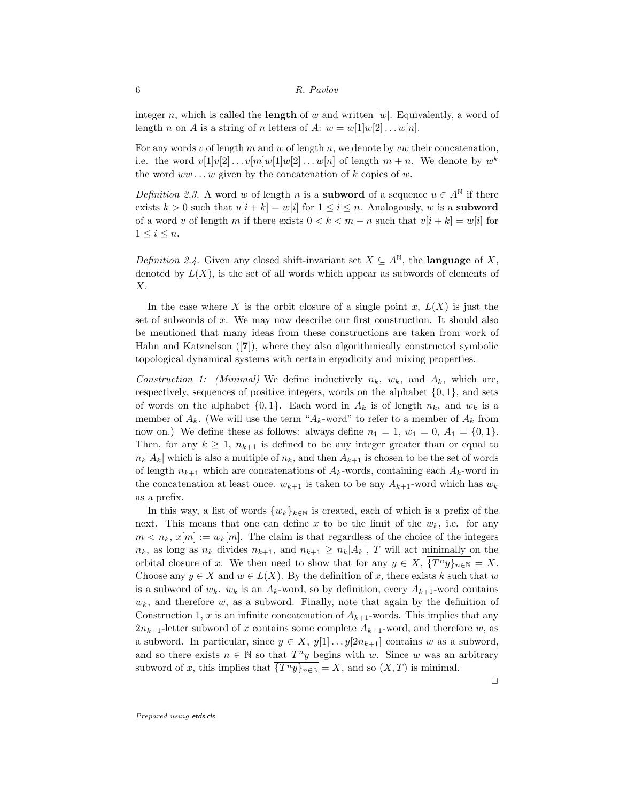integer n, which is called the **length** of w and written  $|w|$ . Equivalently, a word of length n on A is a string of n letters of A:  $w = w[1]w[2] \dots w[n]$ .

For any words v of length m and w of length n, we denote by vw their concatenation, i.e. the word  $v[1]v[2] \ldots v[m]w[1]w[2] \ldots w[n]$  of length  $m + n$ . We denote by  $w^k$ the word  $ww \dots w$  given by the concatenation of k copies of w.

Definition 2.3. A word w of length n is a **subword** of a sequence  $u \in A^{\mathbb{N}}$  if there exists  $k > 0$  such that  $u[i + k] = w[i]$  for  $1 \leq i \leq n$ . Analogously, w is a **subword** of a word v of length m if there exists  $0 < k < m - n$  such that  $v[i + k] = w[i]$  for  $1 \leq i \leq n$ .

Definition 2.4. Given any closed shift-invariant set  $X \subseteq A^{\mathbb{N}}$ , the **language** of X, denoted by  $L(X)$ , is the set of all words which appear as subwords of elements of  $X$ .

In the case where X is the orbit closure of a single point x,  $L(X)$  is just the set of subwords of x. We may now describe our first construction. It should also be mentioned that many ideas from these constructions are taken from work of Hahn and Katznelson ([7]), where they also algorithmically constructed symbolic topological dynamical systems with certain ergodicity and mixing properties.

Construction 1: (Minimal) We define inductively  $n_k$ ,  $w_k$ , and  $A_k$ , which are, respectively, sequences of positive integers, words on the alphabet  $\{0, 1\}$ , and sets of words on the alphabet  $\{0, 1\}$ . Each word in  $A_k$  is of length  $n_k$ , and  $w_k$  is a member of  $A_k$ . (We will use the term " $A_k$ -word" to refer to a member of  $A_k$  from now on.) We define these as follows: always define  $n_1 = 1$ ,  $w_1 = 0$ ,  $A_1 = \{0, 1\}$ . Then, for any  $k \geq 1$ ,  $n_{k+1}$  is defined to be any integer greater than or equal to  $n_k|A_k|$  which is also a multiple of  $n_k$ , and then  $A_{k+1}$  is chosen to be the set of words of length  $n_{k+1}$  which are concatenations of  $A_k$ -words, containing each  $A_k$ -word in the concatenation at least once.  $w_{k+1}$  is taken to be any  $A_{k+1}$ -word which has  $w_k$ as a prefix.

In this way, a list of words  $\{w_k\}_{k\in\mathbb{N}}$  is created, each of which is a prefix of the next. This means that one can define x to be the limit of the  $w_k$ , i.e. for any  $m < n_k$ ,  $x[m] := w_k[m]$ . The claim is that regardless of the choice of the integers  $n_k$ , as long as  $n_k$  divides  $n_{k+1}$ , and  $n_{k+1} \geq n_k |A_k|$ , T will act minimally on the orbital closure of x. We then need to show that for any  $y \in X$ ,  $\{T^n y\}_{n\in\mathbb{N}} = X$ . Choose any  $y \in X$  and  $w \in L(X)$ . By the definition of x, there exists k such that w is a subword of  $w_k$ .  $w_k$  is an  $A_k$ -word, so by definition, every  $A_{k+1}$ -word contains  $w_k$ , and therefore w, as a subword. Finally, note that again by the definition of Construction 1, x is an infinite concatenation of  $A_{k+1}$ -words. This implies that any  $2n_{k+1}$ -letter subword of x contains some complete  $A_{k+1}$ -word, and therefore w, as a subword. In particular, since  $y \in X$ ,  $y[1] \dots y[2n_{k+1}]$  contains w as a subword, and so there exists  $n \in \mathbb{N}$  so that  $T^n y$  begins with w. Since w was an arbitrary subword of x, this implies that  $\overline{\{T^n y\}_{n\in\mathbb{N}}}=X$ , and so  $(X,T)$  is minimal.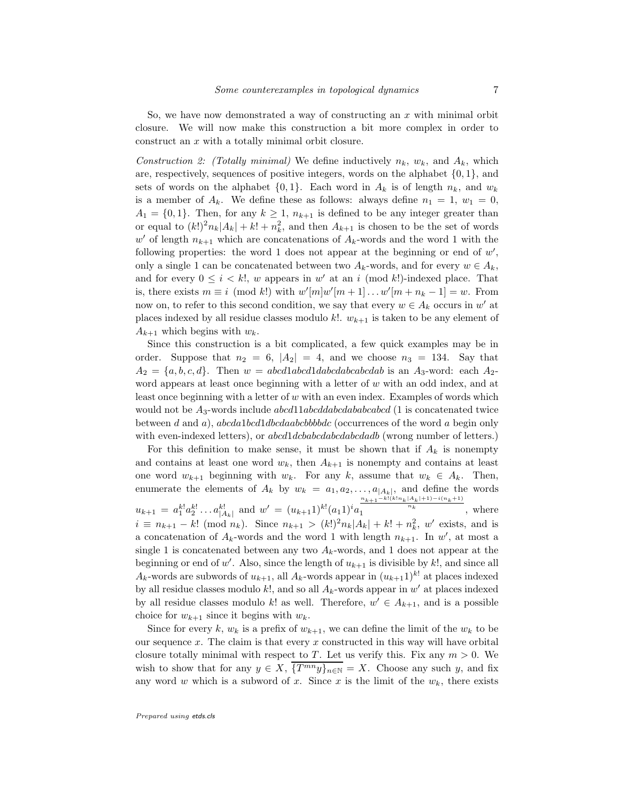So, we have now demonstrated a way of constructing an  $x$  with minimal orbit closure. We will now make this construction a bit more complex in order to construct an x with a totally minimal orbit closure.

Construction 2: (Totally minimal) We define inductively  $n_k$ ,  $w_k$ , and  $A_k$ , which are, respectively, sequences of positive integers, words on the alphabet  $\{0, 1\}$ , and sets of words on the alphabet  $\{0, 1\}$ . Each word in  $A_k$  is of length  $n_k$ , and  $w_k$ is a member of  $A_k$ . We define these as follows: always define  $n_1 = 1, w_1 = 0$ ,  $A_1 = \{0, 1\}$ . Then, for any  $k \geq 1$ ,  $n_{k+1}$  is defined to be any integer greater than or equal to  $(k!)^2 n_k |A_k| + k! + n_k^2$ , and then  $A_{k+1}$  is chosen to be the set of words  $w'$  of length  $n_{k+1}$  which are concatenations of  $A_k$ -words and the word 1 with the following properties: the word 1 does not appear at the beginning or end of  $w'$ , only a single 1 can be concatenated between two  $A_k$ -words, and for every  $w \in A_k$ , and for every  $0 \leq i \leq k!$ , w appears in w' at an i (mod k!)-indexed place. That is, there exists  $m \equiv i \pmod{k}$  with  $w'[m]w'[m+1] \dots w'[m+n_k-1] = w$ . From now on, to refer to this second condition, we say that every  $w \in A_k$  occurs in w' at places indexed by all residue classes modulo k!.  $w_{k+1}$  is taken to be any element of  $A_{k+1}$  which begins with  $w_k$ .

Since this construction is a bit complicated, a few quick examples may be in order. Suppose that  $n_2 = 6$ ,  $|A_2| = 4$ , and we choose  $n_3 = 134$ . Say that  $A_2 = \{a, b, c, d\}$ . Then  $w = abcd1abcd1dbcdabcdabcdab$  is an  $A_3$ -word: each  $A_2$ word appears at least once beginning with a letter of  $w$  with an odd index, and at least once beginning with a letter of w with an even index. Examples of words which would not be  $A_3$ -words include abcd11abcddababcabcd (1 is concatenated twice between d and a), abcda1bcd1dbcdaabcbbbdc (occurrences of the word a begin only with even-indexed letters), or  $abcd1dcbabcdabcdabd$  (wrong number of letters.)

For this definition to make sense, it must be shown that if  $A_k$  is nonempty and contains at least one word  $w_k$ , then  $A_{k+1}$  is nonempty and contains at least one word  $w_{k+1}$  beginning with  $w_k$ . For any k, assume that  $w_k \in A_k$ . Then, enumerate the elements of  $A_k$  by  $w_k = a_1, a_2, \ldots, a_{|A_k|}$ , and define the words  $u_{k+1} = a_1^{k!} a_2^{k!} \dots a_{|A_k|}^{k!}$  and  $w' = (u_{k+1} 1)^{k!} (a_1 1)^i a_1^{\frac{n_{k+1}-k!(k!n_k|A_k|+1)-(n_{k+1})}{n_k}}$ , where  $i \equiv n_{k+1} - k! \pmod{n_k}$ . Since  $n_{k+1} > (k!)^2 n_k |A_k| + k! + n_k^2$ , w' exists, and is a concatenation of  $A_k$ -words and the word 1 with length  $n_{k+1}$ . In w', at most a single 1 is concatenated between any two  $A_k$ -words, and 1 does not appear at the beginning or end of w'. Also, since the length of  $u_{k+1}$  is divisible by k!, and since all  $A_k$ -words are subwords of  $u_{k+1}$ , all  $A_k$ -words appear in  $(u_{k+1})^{k!}$  at places indexed by all residue classes modulo  $k!$ , and so all  $A_k$ -words appear in w' at places indexed by all residue classes modulo k! as well. Therefore,  $w' \in A_{k+1}$ , and is a possible choice for  $w_{k+1}$  since it begins with  $w_k$ .

Since for every k,  $w_k$  is a prefix of  $w_{k+1}$ , we can define the limit of the  $w_k$  to be our sequence  $x$ . The claim is that every  $x$  constructed in this way will have orbital closure totally minimal with respect to T. Let us verify this. Fix any  $m > 0$ . We wish to show that for any  $y \in X$ ,  $\overline{\{T^{mn}y\}_{n\in\mathbb{N}}}=X$ . Choose any such y, and fix any word w which is a subword of x. Since x is the limit of the  $w_k$ , there exists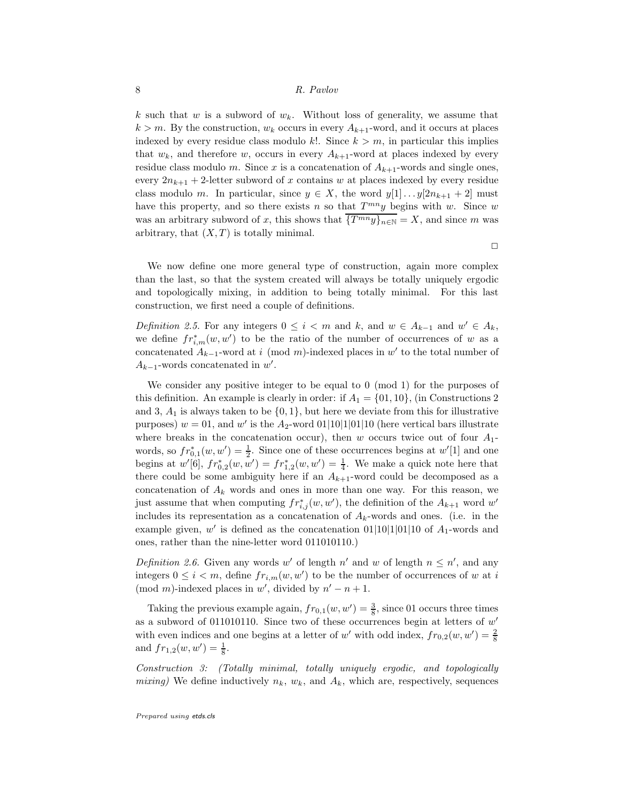k such that w is a subword of  $w_k$ . Without loss of generality, we assume that  $k > m$ . By the construction,  $w_k$  occurs in every  $A_{k+1}$ -word, and it occurs at places indexed by every residue class modulo k!. Since  $k > m$ , in particular this implies that  $w_k$ , and therefore w, occurs in every  $A_{k+1}$ -word at places indexed by every residue class modulo m. Since x is a concatenation of  $A_{k+1}$ -words and single ones, every  $2n_{k+1} + 2$ -letter subword of x contains w at places indexed by every residue class modulo m. In particular, since  $y \in X$ , the word  $y[1] \dots y[2n_{k+1} + 2]$  must have this property, and so there exists n so that  $T^{mn}y$  begins with w. Since w was an arbitrary subword of x, this shows that  $\overline{\{T^{mn}y\}_{n\in\mathbb{N}}}=X$ , and since m was arbitrary, that  $(X, T)$  is totally minimal.

 $\Box$ 

We now define one more general type of construction, again more complex than the last, so that the system created will always be totally uniquely ergodic and topologically mixing, in addition to being totally minimal. For this last construction, we first need a couple of definitions.

Definition 2.5. For any integers  $0 \leq i < m$  and  $k$ , and  $w \in A_{k-1}$  and  $w' \in A_k$ , we define  $fr_{i,m}^*(w, w')$  to be the ratio of the number of occurrences of w as a concatenated  $A_{k-1}$ -word at i (mod m)-indexed places in w' to the total number of  $A_{k-1}$ -words concatenated in w'.

We consider any positive integer to be equal to 0 (mod 1) for the purposes of this definition. An example is clearly in order: if  $A_1 = \{01, 10\}$ , (in Constructions 2) and 3,  $A_1$  is always taken to be  $\{0, 1\}$ , but here we deviate from this for illustrative purposes)  $w = 01$ , and  $w'$  is the  $A_2$ -word  $01|10|1|01|10$  (here vertical bars illustrate where breaks in the concatenation occur), then w occurs twice out of four  $A_1$ words, so  $fr_{0,1}^*(w, w') = \frac{1}{2}$ . Since one of these occurrences begins at  $w'[1]$  and one begins at  $w'[6]$ ,  $fr_{0,2}^*(w, w') = fr_{1,2}^*(w, w') = \frac{1}{4}$ . We make a quick note here that there could be some ambiguity here if an  $A_{k+1}$ -word could be decomposed as a concatenation of  $A_k$  words and ones in more than one way. For this reason, we just assume that when computing  $fr_{i,j}^*(w, w')$ , the definition of the  $A_{k+1}$  word w' includes its representation as a concatenation of  $A_k$ -words and ones. (i.e. in the example given, w' is defined as the concatenation  $01|10|1|01|10$  of  $A_1$ -words and ones, rather than the nine-letter word 011010110.)

Definition 2.6. Given any words w' of length  $n'$  and w of length  $n \leq n'$ , and any integers  $0 \leq i < m$ , define  $fr_{i,m}(w, w')$  to be the number of occurrences of w at i (mod m)-indexed places in w', divided by  $n'-n+1$ .

Taking the previous example again,  $fr_{0,1}(w, w') = \frac{3}{8}$ , since 01 occurs three times as a subword of 011010110. Since two of these occurrences begin at letters of  $w'$ with even indices and one begins at a letter of w' with odd index,  $fr_{0,2}(w, w') = \frac{2}{8}$ and  $fr_{1,2}(w, w') = \frac{1}{8}$ .

Construction 3: (Totally minimal, totally uniquely ergodic, and topologically mixing) We define inductively  $n_k$ ,  $w_k$ , and  $A_k$ , which are, respectively, sequences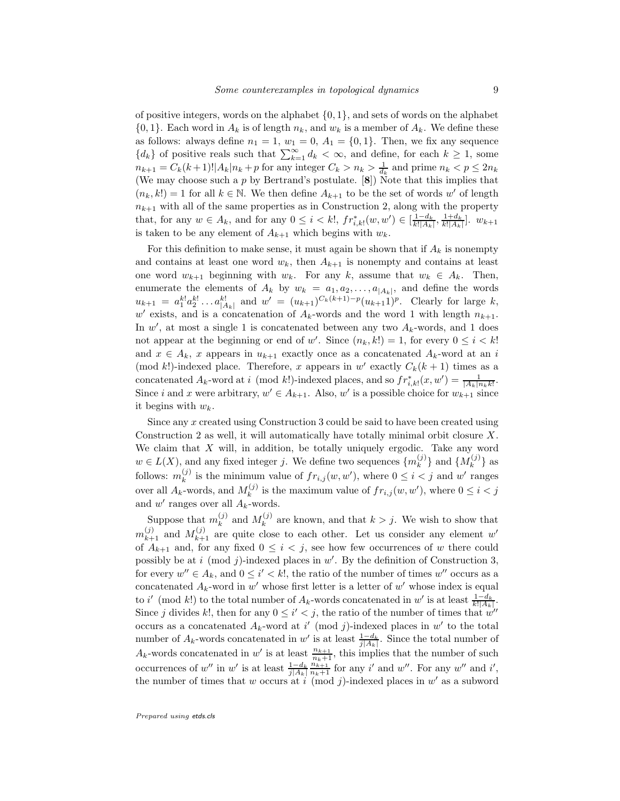of positive integers, words on the alphabet  $\{0, 1\}$ , and sets of words on the alphabet  $\{0,1\}$ . Each word in  $A_k$  is of length  $n_k$ , and  $w_k$  is a member of  $A_k$ . We define these as follows: always define  $n_1 = 1$ ,  $w_1 = 0$ ,  $A_1 = \{0, 1\}$ . Then, we fix any sequence  ${d_k}$  of positive reals such that  $\sum_{k=1}^{\infty} d_k < \infty$ , and define, for each  $k \geq 1$ , some  $n_{k+1} = C_k(k+1)! |A_k| n_k + p$  for any integer  $C_k > n_k > \frac{1}{d_k}$  and prime  $n_k < p \leq 2n_k$ (We may choose such a  $p$  by Bertrand's postulate. [8]) Note that this implies that  $(n_k, k!) = 1$  for all  $k \in \mathbb{N}$ . We then define  $A_{k+1}$  to be the set of words w' of length  $n_{k+1}$  with all of the same properties as in Construction 2, along with the property that, for any  $w \in A_k$ , and for any  $0 \le i \le k!$ ,  $fr_{i,k!}^*(w, w') \in [\frac{1-d_k}{k!|A_k|}, \frac{1+d_k}{k!|A_k|}]$ .  $w_{k+1}$ is taken to be any element of  $A_{k+1}$  which begins with  $w_k$ .

For this definition to make sense, it must again be shown that if  $A_k$  is nonempty and contains at least one word  $w_k$ , then  $A_{k+1}$  is nonempty and contains at least one word  $w_{k+1}$  beginning with  $w_k$ . For any k, assume that  $w_k \in A_k$ . Then, enumerate the elements of  $A_k$  by  $w_k = a_1, a_2, \ldots, a_{|A_k|}$ , and define the words  $u_{k+1} = a_1^{k!} a_2^{k!} \dots a_{|A_k|}^{k!}$  and  $w' = (u_{k+1})^{C_k(k+1)-p} (u_{k+1}1)^p$ . Clearly for large k,  $w'$  exists, and is a concatenation of  $A_k$ -words and the word 1 with length  $n_{k+1}$ . In  $w'$ , at most a single 1 is concatenated between any two  $A_k$ -words, and 1 does not appear at the beginning or end of w'. Since  $(n_k, k!) = 1$ , for every  $0 \le i \le k!$ and  $x \in A_k$ , x appears in  $u_{k+1}$  exactly once as a concatenated  $A_k$ -word at an i (mod k!)-indexed place. Therefore, x appears in w' exactly  $C_k(k+1)$  times as a concatenated  $A_k$ -word at i (mod k!)-indexed places, and so  $fr_{i,k}^*(x, w') = \frac{1}{|A_k|n_kk!}$ . Since i and x were arbitrary,  $w' \in A_{k+1}$ . Also, w' is a possible choice for  $w_{k+1}$  since it begins with  $w_k$ .

Since any x created using Construction 3 could be said to have been created using Construction 2 as well, it will automatically have totally minimal orbit closure X. We claim that  $X$  will, in addition, be totally uniquely ergodic. Take any word  $w \in L(X)$ , and any fixed integer j. We define two sequences  $\{m_k^{(j)}\}$  $\{M_k^{(j)}\}$  and  $\{M_k^{(j)}\}$  $\{k}^{(J)}\}$  as follows:  $m_k^{(j)}$  $\sum_{k}^{(j)}$  is the minimum value of  $fr_{i,j}(w, w')$ , where  $0 \leq i < j$  and w' ranges over all  $A_k$ -words, and  $M_k^{(j)}$  $\sum_{k}^{(j)}$  is the maximum value of  $fr_{i,j}(w, w')$ , where  $0 \leq i < j$ and  $w'$  ranges over all  $A_k$ -words.

Suppose that  $m_k^{(j)}$  $\binom{(j)}{k}$  and  $M_k^{(j)}$  $\lambda_k^{(j)}$  are known, and that  $k > j$ . We wish to show that  $m_{k+1}^{(j)}$  and  $M_{k+1}^{(j)}$  are quite close to each other. Let us consider any element w' of  $A_{k+1}$  and, for any fixed  $0 \leq i \leq j$ , see how few occurrences of w there could possibly be at i (mod j)-indexed places in  $w'$ . By the definition of Construction 3, for every  $w'' \in A_k$ , and  $0 \le i' < k!$ , the ratio of the number of times  $w''$  occurs as a concatenated  $A_k$ -word in w' whose first letter is a letter of w' whose index is equal to i' (mod k!) to the total number of  $A_k$ -words concatenated in w' is at least  $\frac{1-d_k}{k!|A_k|}$ Since j divides k!, then for any  $0 \leq i' < j$ , the ratio of the number of times that  $w''$ occurs as a concatenated  $A_k$ -word at i' (mod j)-indexed places in w' to the total number of  $A_k$ -words concatenated in w' is at least  $\frac{1-d_k}{i|A_k|}$ . Since the total number of  $j|A_k|$  $A_k$ -words concatenated in w' is at least  $\frac{n_{k+1}}{n_k+1}$ , this implies that the number of such occurrences of w'' in w' is at least  $\frac{1-d_k}{j|A_k|}$  $\frac{n_{k+1}}{n_k+1}$  for any i' and w''. For any w'' and i', the number of times that w occurs at i (mod j)-indexed places in  $w'$  as a subword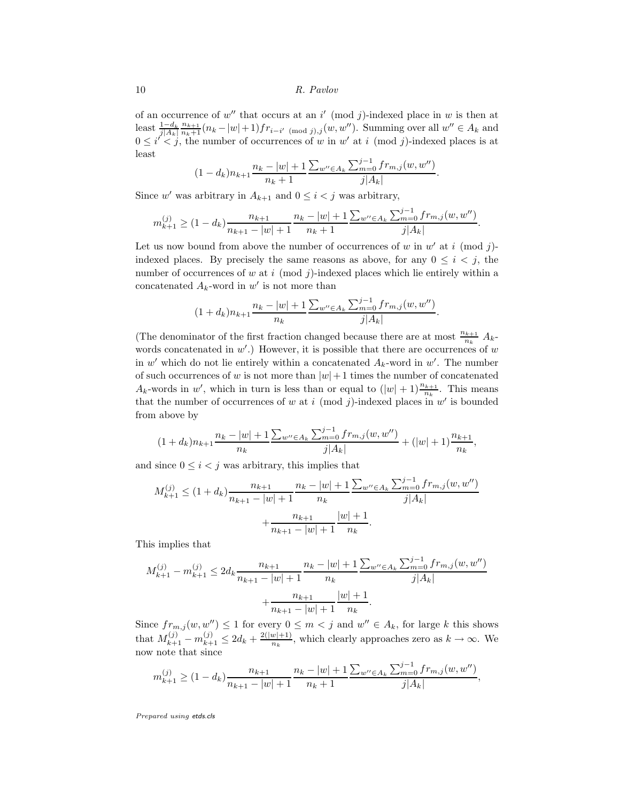of an occurrence of  $w''$  that occurs at an i' (mod j)-indexed place in w is then at  $\text{least } \frac{1-d_k}{j|A_k|}$  $\frac{n_{k+1}}{n_k+1}(n_k-|w|+1)fr_{i-i'} \pmod{j,j}(w,w'')$ . Summing over all  $w'' \in A_k$  and  $0 \leq i' < j$ , the number of occurrences of w in w' at i (mod j)-indexed places is at least

$$
(1-d_k)n_{k+1}\frac{n_k-|w|+1}{n_k+1}\frac{\sum_{w''\in A_k}\sum_{m=0}^{j-1}fr_{m,j}(w,w'')}{j|A_k|}.
$$

Since w' was arbitrary in  $A_{k+1}$  and  $0 \leq i < j$  was arbitrary,

$$
m_{k+1}^{(j)} \ge (1 - d_k) \frac{n_{k+1}}{n_{k+1} - |w| + 1} \frac{n_k - |w| + 1}{n_k + 1} \frac{\sum_{w'' \in A_k} \sum_{m=0}^{j-1} f_{m,j}(w, w'')}{j |A_k|}.
$$

Let us now bound from above the number of occurrences of w in  $w'$  at i (mod j)indexed places. By precisely the same reasons as above, for any  $0 \leq i \leq j$ , the number of occurrences of  $w$  at  $i \pmod{j}$ -indexed places which lie entirely within a concatenated  $A_k$ -word in w' is not more than

$$
(1+d_k)n_{k+1}\frac{n_k - |w| + 1}{n_k} \frac{\sum_{w'' \in A_k} \sum_{m=0}^{j-1} f r_{m,j}(w, w'')}{j|A_k|}
$$

.

(The denominator of the first fraction changed because there are at most  $\frac{n_{k+1}}{n_k} A_k$ words concatenated in  $w'$ .) However, it is possible that there are occurrences of  $w$ in  $w'$  which do not lie entirely within a concatenated  $A_k$ -word in  $w'$ . The number of such occurrences of w is not more than  $|w|+1$  times the number of concatenated  $A_k$ -words in w', which in turn is less than or equal to  $(|w|+1)\frac{n_{k+1}}{n_k}$ . This means that the number of occurrences of w at i (mod j)-indexed places in  $w'$  is bounded from above by

$$
(1+d_k)n_{k+1}\frac{n_k - |w| + 1}{n_k} \frac{\sum_{w'' \in A_k} \sum_{m=0}^{j-1} f r_{m,j}(w, w'')}{j|A_k|} + (|w|+1)\frac{n_{k+1}}{n_k},
$$

and since  $0 \leq i < j$  was arbitrary, this implies that

$$
M_{k+1}^{(j)} \le (1 + d_k) \frac{n_{k+1}}{n_{k+1} - |w| + 1} \frac{n_k - |w| + 1}{n_k} \frac{\sum_{w'' \in A_k} \sum_{m=0}^{j-1} f r_{m,j}(w, w'')}{j |A_k|} + \frac{n_{k+1}}{n_{k+1} - |w| + 1} \frac{|w| + 1}{n_k}.
$$

This implies that

$$
M_{k+1}^{(j)} - m_{k+1}^{(j)} \le 2d_k \frac{n_{k+1}}{n_{k+1} - |w| + 1} \frac{n_k - |w| + 1}{n_k} \frac{\sum_{w'' \in A_k} \sum_{m=0}^{j-1} f r_{m,j}(w, w'')}{j|A_k|} + \frac{n_{k+1}}{n_{k+1} - |w| + 1} \frac{|w| + 1}{n_k}.
$$

Since  $fr_{m,j}(w, w'') \leq 1$  for every  $0 \leq m < j$  and  $w'' \in A_k$ , for large k this shows that  $M_{k+1}^{(j)} - m_{k+1}^{(j)} \leq 2d_k + \frac{2(|w|+1)}{n_k}$ , which clearly approaches zero as  $k \to \infty$ . We now note that since

$$
m_{k+1}^{(j)} \ge (1 - d_k) \frac{n_{k+1}}{n_{k+1} - |w| + 1} \frac{n_k - |w| + 1}{n_k + 1} \frac{\sum_{w'' \in A_k} \sum_{m=0}^{j-1} f_{m,j}(w, w'')}{j |A_k|},
$$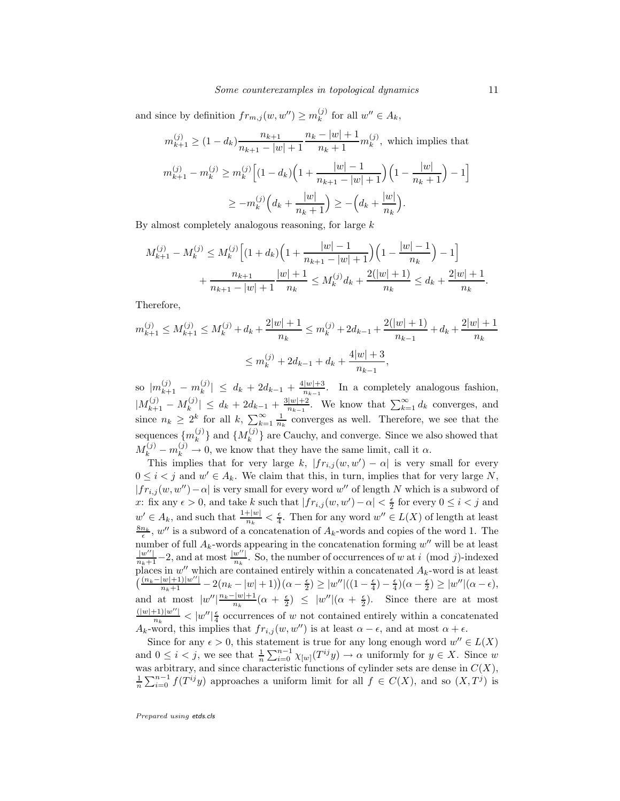and since by definition  $fr_{m,j}(w, w'') \geq m_k^{(j)}$  $\chi^{(J)}_k$  for all  $w'' \in A_k$ ,

$$
m_{k+1}^{(j)} \ge (1 - d_k) \frac{n_{k+1}}{n_{k+1} - |w| + 1} \frac{n_k - |w| + 1}{n_k + 1} m_k^{(j)},
$$
 which implies that  

$$
m_{k+1}^{(j)} - m_k^{(j)} \ge m_k^{(j)} \Big[ (1 - d_k) \Big( 1 + \frac{|w| - 1}{n_{k+1} - |w| + 1} \Big) \Big( 1 - \frac{|w|}{n_k + 1} \Big) - 1 \Big]
$$

$$
\ge -m_k^{(j)} \Big( d_k + \frac{|w|}{n_k + 1} \Big) \ge -\Big( d_k + \frac{|w|}{n_k} \Big).
$$

By almost completely analogous reasoning, for large k

$$
M_{k+1}^{(j)} - M_k^{(j)} \le M_k^{(j)} \Big[ (1 + d_k) \Big( 1 + \frac{|w| - 1}{n_{k+1} - |w| + 1} \Big) \Big( 1 - \frac{|w| - 1}{n_k} \Big) - 1 \Big] + \frac{n_{k+1}}{n_{k+1} - |w| + 1} \frac{|w| + 1}{n_k} \le M_k^{(j)} d_k + \frac{2(|w| + 1)}{n_k} \le d_k + \frac{2|w| + 1}{n_k}.
$$

Therefore,

$$
m_{k+1}^{(j)} \le M_{k+1}^{(j)} \le M_k^{(j)} + d_k + \frac{2|w|+1}{n_k} \le m_k^{(j)} + 2d_{k-1} + \frac{2(|w|+1)}{n_{k-1}} + d_k + \frac{2|w|+1}{n_k}
$$
  

$$
\le m_k^{(j)} + 2d_{k-1} + d_k + \frac{4|w|+3}{n_{k-1}},
$$

so  $|m_{k+1}^{(j)} - m_k^{(j)}|$  $\left| \begin{array}{c} (j) \\ k \end{array} \right| \leq d_k + 2d_{k-1} + \frac{4|w|+3}{n_{k-1}}$ . In a completely analogous fashion,  $|M_{k+1}^{(j)} - M_k^{(j)}|$  $|k_{k}^{(j)}| \leq d_k + 2d_{k-1} + \frac{3|w|+2}{n_{k-1}}$ . We know that  $\sum_{k=1}^{\infty} d_k$  converges, and since  $n_k \geq 2^k$  for all k,  $\sum_{k=1}^{\infty} \frac{1}{n_k}$  converges as well. Therefore, we see that the sequences  $\{m_k^{(j)}\}$  $\{M_k^{(j)}\}$  and  $\{M_k^{(j)}\}$  $\{k^{(J)}\}$  are Cauchy, and converge. Since we also showed that  $M_k^{(j)} - m_k^{(j)} \to 0$ , we know that they have the same limit, call it  $\alpha$ .

This implies that for very large k,  $|fr_{i,j}(w, w') - \alpha|$  is very small for every  $0 \leq i < j$  and  $w' \in A_k$ . We claim that this, in turn, implies that for very large N,  $|fr_{i,j}(w, w'') - \alpha|$  is very small for every word w'' of length N which is a subword of x: fix any  $\epsilon > 0$ , and take k such that  $|fr_{i,j}(w, w') - \alpha| < \frac{\epsilon}{2}$  for every  $0 \le i < j$  and  $w' \in A_k$ , and such that  $\frac{1+|w|}{n_k} < \frac{\epsilon}{4}$ . Then for any word  $w'' \in L(X)$  of length at least  $\frac{8n_k}{\epsilon}$ , w'' is a subword of a concatenation of  $A_k$ -words and copies of the word 1. The number of full  $A_k$ -words appearing in the concatenation forming  $w''$  will be at least  $\frac{|w''|}{n_k+1}-2$ , and at most  $\frac{|w''|}{n_k}$ . So, the number of occurrences of w at i (mod j)-indexed places in  $w''$  which are contained entirely within a concatenated  $A_k$ -word is at least  $\left(\frac{(n_k-|w|+1)|w''|}{n_k+1}-2(n_k-|w|+1)\right)(\alpha-\frac{\epsilon}{2})\geq |w''|((1-\frac{\epsilon}{4})-\frac{\epsilon}{4})(\alpha-\frac{\epsilon}{2})\geq |w''|(\alpha-\epsilon),$ and at most  $|w''| \frac{n_k - |w| + 1}{n_k} (\alpha + \frac{\epsilon}{2}) \leq |w''| (\alpha + \frac{\epsilon}{2})$ . Since there are at most  $\frac{(|w|+1)|w''|}{n_k}$  <  $|w''|\frac{\epsilon}{4}$  occurrences of w not contained entirely within a concatenated  $A_k$ -word, this implies that  $fr_{i,j}(w, w'')$  is at least  $\alpha - \epsilon$ , and at most  $\alpha + \epsilon$ .

Since for any  $\epsilon > 0$ , this statement is true for any long enough word  $w'' \in L(X)$ and  $0 \leq i < j$ , we see that  $\frac{1}{n} \sum_{i=0}^{n-1} \chi_{[w]}(T^{ij}y) \to \alpha$  uniformly for  $y \in X$ . Since w was arbitrary, and since characteristic functions of cylinder sets are dense in  $C(X)$ ,  $\frac{1}{n}\sum_{i=0}^{n-1} f(T^{ij}y)$  approaches a uniform limit for all  $f \in C(X)$ , and so  $(X, T^j)$  is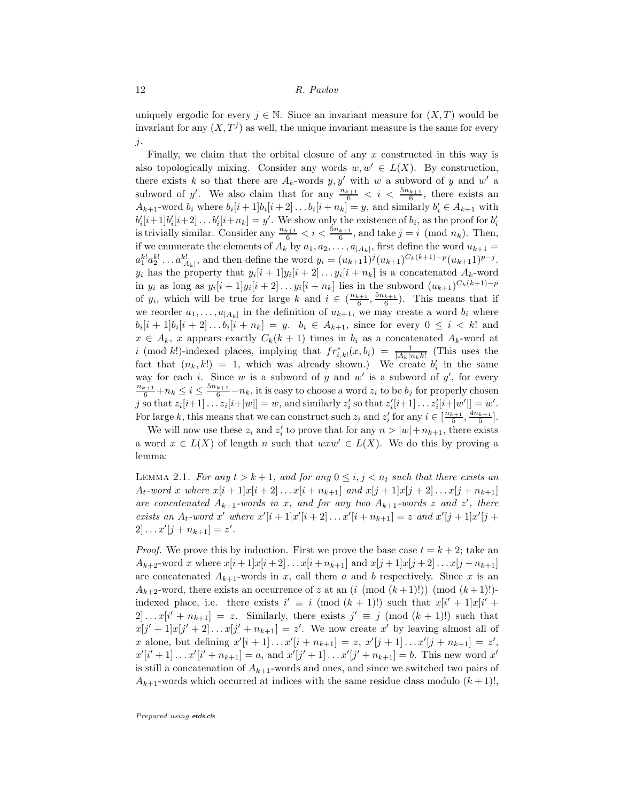uniquely ergodic for every  $j \in \mathbb{N}$ . Since an invariant measure for  $(X, T)$  would be invariant for any  $(X, T<sup>j</sup>)$  as well, the unique invariant measure is the same for every  $\dot{j}$ .

Finally, we claim that the orbital closure of any x constructed in this way is also topologically mixing. Consider any words  $w, w' \in L(X)$ . By construction, there exists k so that there are  $A_k$ -words  $y, y'$  with w a subword of y and w' a subword of y'. We also claim that for any  $\frac{n_{k+1}}{6} < i < \frac{5n_{k+1}}{6}$ , there exists an  $A_{k+1}$ -word  $b_i$  where  $b_i[i+1]b_i[i+2] \dots b_i[i+n_k] = y$ , and similarly  $b'_i \in A_{k+1}$  with  $b'_i[i+1]b'_i[i+2] \dots b'_i[i+n_k] = y'$ . We show only the existence of  $b_i$ , as the proof for  $b'_i$ is trivially similar. Consider any  $\frac{n_{k+1}}{6} < i < \frac{5n_{k+1}}{6}$ , and take  $j = i \pmod{n_k}$ . Then, if we enumerate the elements of  $A_k$  by  $a_1, a_2, \ldots, a_{|A_k|}$ , first define the word  $u_{k+1} =$  $a_1^{k!}a_2^{k!}\ldots a_{|A_k|}^{k!}$ , and then define the word  $y_i = (u_{k+1})^j (u_{k+1})^{C_k(k+1)-p} (u_{k+1}1)^{p-j}$ .  $y_i$  has the property that  $y_i[i+1]y_i[i+2] \ldots y_i[i+n_k]$  is a concatenated  $A_k$ -word in  $y_i$  as long as  $y_i[i+1]y_i[i+2]...y_i[i+n_k]$  lies in the subword  $(u_{k+1})^{C_k(k+1)-p}$ of  $y_i$ , which will be true for large k and  $i \in (\frac{n_{k+1}}{6}, \frac{5n_{k+1}}{6})$ . This means that if we reorder  $a_1, \ldots, a_{|A_k|}$  in the definition of  $u_{k+1}$ , we may create a word  $b_i$  where  $b_i[i+1]b_i[i+2] \dots b_i[i+n_k] = y. \ \ b_i \in A_{k+1}, \text{ since for every } 0 \leq i < k! \text{ and }$  $x \in A_k$ , x appears exactly  $C_k(k+1)$  times in  $b_i$  as a concatenated  $A_k$ -word at i (mod k!)-indexed places, implying that  $fr_{i,k}^*(x, b_i) = \frac{1}{|A_k| n_k k!}$  (This uses the fact that  $(n_k, k!) = 1$ , which was already shown.) We create  $b'_i$  in the same way for each *i*. Since *w* is a subword of *y* and  $w'$  is a subword of  $y'$ , for every  $\frac{n_{k+1}}{6}+n_k \leq i \leq \frac{5n_{k+1}}{6}-n_k$ , it is easy to choose a word  $z_i$  to be  $b_j$  for properly chosen j so that  $z_i[i+1] \dots z_i[i+|w|] = w$ , and similarly  $z'_i$  so that  $z'_i[i+1] \dots z'_i[i+|w'|] = w'$ . For large k, this means that we can construct such  $z_i$  and  $z'_i$  for any  $i \in \left[\frac{n_{k+1}}{5}, \frac{4n_{k+1}}{5}\right]$ .

We will now use these  $z_i$  and  $z'_i$  to prove that for any  $n > |w| + n_{k+1}$ , there exists a word  $x \in L(X)$  of length n such that  $wxw' \in L(X)$ . We do this by proving a lemma:

LEMMA 2.1. For any  $t > k+1$ , and for any  $0 \leq i, j < n_t$  such that there exists an  $A_t$ -word x where  $x[i+1]x[i+2] \dots x[i+n_{k+1}]$  and  $x[j+1]x[j+2] \dots x[j+n_{k+1}]$ are concatenated  $A_{k+1}$ -words in x, and for any two  $A_{k+1}$ -words z and z', there exists an  $A_t$ -word x' where  $x'[i+1]x'[i+2] \ldots x'[i+n_{k+1}] = z$  and  $x'[j+1]x'[j+1]$  $2] \ldots x'[j + n_{k+1}] = z'.$ 

*Proof.* We prove this by induction. First we prove the base case  $t = k + 2$ ; take an  $A_{k+2}$ -word x where  $x[i+1]x[i+2] \ldots x[i+n_{k+1}]$  and  $x[j+1]x[j+2] \ldots x[j+n_{k+1}]$ are concatenated  $A_{k+1}$ -words in x, call them a and b respectively. Since x is an  $A_{k+2}$ -word, there exists an occurrence of z at an  $(i \pmod{(k+1)!})$  (mod  $(k+1)!$ ) indexed place, i.e. there exists  $i' \equiv i \pmod{(k+1)!}$  such that  $x[i'+1]x[i'+1]$  $2] \dots x[i' + n_{k+1}] = z$ . Similarly, there exists  $j' \equiv j \pmod{(k+1)!}$  such that  $x[j'+1]x[j'+2] \ldots x[j'+n_{k+1}] = z'$ . We now create x' by leaving almost all of x alone, but defining  $x'[i+1] \dots x'[i+n_{k+1}] = z, x'[j+1] \dots x'[j+n_{k+1}] = z'$ ,  $x'[i'+1] \dots x'[i'+n_{k+1}] = a$ , and  $x'[j'+1] \dots x'[j'+n_{k+1}] = b$ . This new word  $x'$ is still a concatenation of  $A_{k+1}$ -words and ones, and since we switched two pairs of  $A_{k+1}$ -words which occurred at indices with the same residue class modulo  $(k+1)!$ ,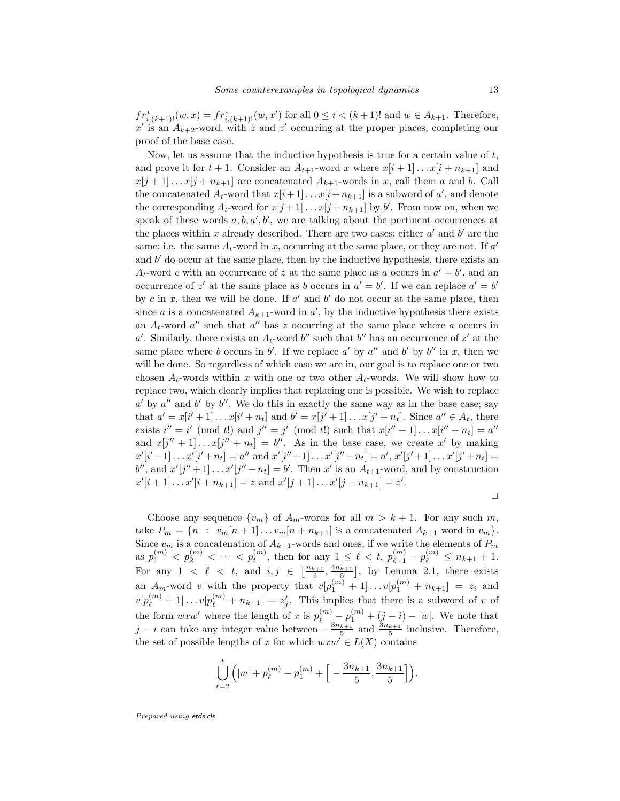$fr_{i,(k+1)!}^*(w,x) = fr_{i,(k+1)!}^*(w,x')$  for all  $0 \leq i < (k+1)!$  and  $w \in A_{k+1}$ . Therefore,  $x'$  is an  $A_{k+2}$ -word, with z and z' occurring at the proper places, completing our proof of the base case.

Now, let us assume that the inductive hypothesis is true for a certain value of  $t$ , and prove it for  $t + 1$ . Consider an  $A_{t+1}$ -word x where  $x[i+1] \ldots x[i+n_{k+1}]$  and  $x[j+1] \dots x[j+n_{k+1}]$  are concatenated  $A_{k+1}$ -words in x, call them a and b. Call the concatenated  $A_t$ -word that  $x[i+1] \dots x[i+n_{k+1}]$  is a subword of  $a'$ , and denote the corresponding  $A_t$ -word for  $x[j+1] \ldots x[j+n_{k+1}]$  by b'. From now on, when we speak of these words  $a, b, a', b'$ , we are talking about the pertinent occurrences at the places within x already described. There are two cases; either  $a'$  and  $b'$  are the same; i.e. the same  $A_t$ -word in x, occurring at the same place, or they are not. If  $a'$ and b ′ do occur at the same place, then by the inductive hypothesis, there exists an  $A_t$ -word c with an occurrence of z at the same place as a occurs in  $a' = b'$ , and an occurrence of z' at the same place as b occurs in  $a' = b'$ . If we can replace  $a' = b'$ by c in x, then we will be done. If  $a'$  and  $b'$  do not occur at the same place, then since *a* is a concatenated  $A_{k+1}$ -word in *a'*, by the inductive hypothesis there exists an  $A_t$ -word  $a''$  such that  $a''$  has z occurring at the same place where a occurs in a'. Similarly, there exists an  $A_t$ -word b'' such that b'' has an occurrence of z' at the same place where b occurs in b'. If we replace a' by a'' and b' by b'' in x, then we will be done. So regardless of which case we are in, our goal is to replace one or two chosen  $A_t$ -words within x with one or two other  $A_t$ -words. We will show how to replace two, which clearly implies that replacing one is possible. We wish to replace  $a'$  by  $a''$  and b' by b''. We do this in exactly the same way as in the base case; say that  $a' = x[i'+1] \dots x[i'+n_t]$  and  $b' = x[j'+1] \dots x[j'+n_t]$ . Since  $a'' \in A_t$ , there exists  $i'' = i' \pmod{t}$  and  $j'' = j' \pmod{t}$  such that  $x[i'' + 1] \dots x[i'' + n_t] = a''$ and  $x[j'' + 1] \dots x[j'' + n_t] = b''$ . As in the base case, we create x' by making  $x'[i'+1] \ldots x'[i'+n_t] = a''$  and  $x'[i''+1] \ldots x'[i''+n_t] = a', x'[j'+1] \ldots x'[j'+n_t] = a'$  $b''$ , and  $x'[j''+1] \ldots x'[j''+n_t] = b'$ . Then  $x'$  is an  $A_{t+1}$ -word, and by construction  $x'[i+1] \dots x'[i+n_{k+1}] = z \text{ and } x'[j+1] \dots x'[j+n_{k+1}] = z'.$ 

 $\Box$ 

Choose any sequence  $\{v_m\}$  of  $A_m$ -words for all  $m > k + 1$ . For any such m, take  $P_m = \{n : v_m[n+1] \dots v_m[n+n_{k+1}] \text{ is a concatenated } A_{k+1} \text{ word in } v_m \}.$ Since  $v_m$  is a concatenation of  $A_{k+1}$ -words and ones, if we write the elements of  $P_m$ as  $p_1^{(m)} < p_2^{(m)} < \cdots < p_t^{(m)}$ , then for any  $1 \leq \ell < t$ ,  $p_{\ell+1}^{(m)} - p_{\ell}^{(m)} \leq n_{k+1} + 1$ . For any  $1 \leq \ell \leq t$ , and  $i, j \in \left[\frac{n_{k+1}}{5}, \frac{4n_{k+1}}{5}\right]$ , by Lemma 2.1, there exists an  $A_m$ -word v with the property that  $v[p_1^{(m)} + 1] \dots v[p_1^{(m)} + n_{k+1}] = z_i$  and  $v[p_{\ell}^{(m)}+1] \dots v[p_{\ell}^{(m)}+n_{k+1}] = z'_j$ . This implies that there is a subword of v of the form  $wxw'$  where the length of x is  $p_{\ell}^{(m)} - p_1^{(m)} + (j - i) - |w|$ . We note that  $j - i$  can take any integer value between  $-\frac{3n_{k+1}}{5}$  and  $\frac{3n_{k+1}}{5}$  inclusive. Therefore, the set of possible lengths of x for which  $wxw' \in L(X)$  contains

$$
\bigcup_{\ell=2}^t \Big(|w|+p_\ell^{(m)}-p_1^{(m)}+\Big[-\frac{3n_{k+1}}{5},\frac{3n_{k+1}}{5}\Big]\Big).
$$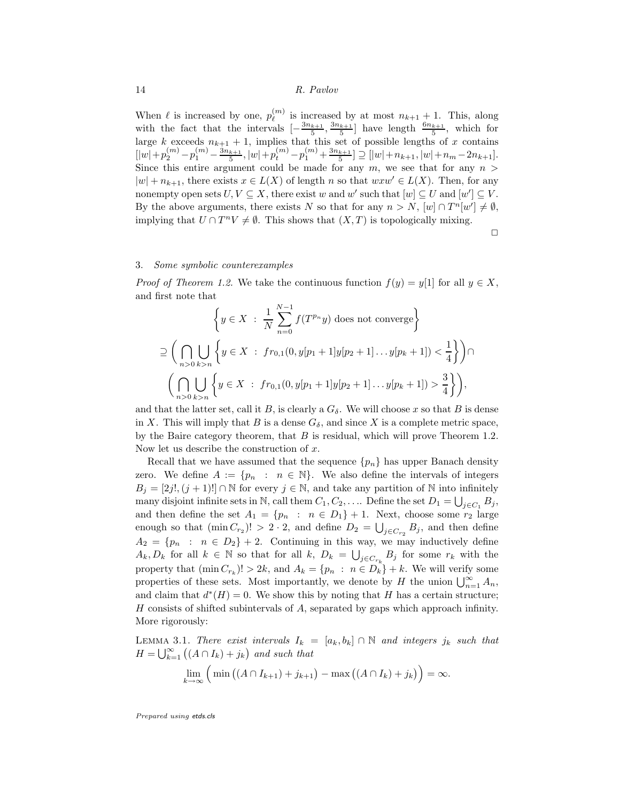When  $\ell$  is increased by one,  $p_{\ell}^{(m)}$  $\ell^{(m)}$  is increased by at most  $n_{k+1}$  + 1. This, along with the fact that the intervals  $\left[-\frac{3n_{k+1}}{5}, \frac{3n_{k+1}}{5}\right]$  have length  $\frac{6n_{k+1}}{5}$ , which for large k exceeds  $n_{k+1} + 1$ , implies that this set of possible lengths of x contains  $[|w|+p^{(m)}_2-p^{(m)}_1-\tfrac{3n_{k+1}}{5},|w|+p^{(m)}_t-p^{(m)}_1+\tfrac{3n_{k+1}}{5}] \supseteq [|w|+n_{k+1},|w|+n_m-2n_{k+1}].$ Since this entire argument could be made for any  $m$ , we see that for any  $n >$  $|w| + n_{k+1}$ , there exists  $x \in L(X)$  of length n so that  $wxw' \in L(X)$ . Then, for any nonempty open sets  $U, V \subseteq X$ , there exist w and w' such that  $[w] \subseteq U$  and  $[w'] \subseteq V$ . By the above arguments, there exists N so that for any  $n > N$ ,  $[w] \cap T^{n}[w'] \neq \emptyset$ , implying that  $U \cap T^n V \neq \emptyset$ . This shows that  $(X, T)$  is topologically mixing.

 $\Box$ 

#### 3. Some symbolic counterexamples

*Proof of Theorem 1.2.* We take the continuous function  $f(y) = y[1]$  for all  $y \in X$ , and first note that

$$
\left\{ y \in X \; : \; \frac{1}{N} \sum_{n=0}^{N-1} f(T^{p_n}y) \text{ does not converge} \right\}
$$
  
\n
$$
\supseteq \left( \bigcap_{n>0} \bigcup_{k>n} \left\{ y \in X \; : \; fr_{0,1}(0, y[p_1+1]y[p_2+1] \dots y[p_k+1]) < \frac{1}{4} \right\} \right) \cap
$$
  
\n
$$
\left( \bigcap_{n>0} \bigcup_{k>n} \left\{ y \in X \; : \; fr_{0,1}(0, y[p_1+1]y[p_2+1] \dots y[p_k+1]) > \frac{3}{4} \right\} \right),
$$

and that the latter set, call it B, is clearly a  $G_{\delta}$ . We will choose x so that B is dense in X. This will imply that B is a dense  $G_{\delta}$ , and since X is a complete metric space, by the Baire category theorem, that  $B$  is residual, which will prove Theorem 1.2. Now let us describe the construction of  $x$ .

Recall that we have assumed that the sequence  $\{p_n\}$  has upper Banach density zero. We define  $A := \{p_n : n \in \mathbb{N}\}\.$  We also define the intervals of integers  $B_j = [2j!, (j + 1)!] \cap \mathbb{N}$  for every  $j \in \mathbb{N}$ , and take any partition of  $\mathbb{N}$  into infinitely many disjoint infinite sets in N, call them  $C_1, C_2, \ldots$  Define the set  $D_1 = \bigcup_{j \in C_1} B_j$ , and then define the set  $A_1 = \{p_n : n \in D_1\} + 1$ . Next, choose some  $r_2$  large enough so that  $(\min C_{r_2})! > 2 \cdot 2$ , and define  $D_2 = \bigcup_{j \in C_{r_2}} B_j$ , and then define  $A_2 = \{p_n : n \in D_2\} + 2$ . Continuing in this way, we may inductively define  $A_k, D_k$  for all  $k \in \mathbb{N}$  so that for all  $k, D_k = \bigcup_{j \in C_{r_k}} B_j$  for some  $r_k$  with the property that  $(\min C_{r_k})! > 2k$ , and  $A_k = \{p_n : n \in D_k\} + k$ . We will verify some properties of these sets. Most importantly, we denote by H the union  $\bigcup_{n=1}^{\infty} A_n$ , and claim that  $d^*(H) = 0$ . We show this by noting that H has a certain structure; H consists of shifted subintervals of A, separated by gaps which approach infinity. More rigorously:

LEMMA 3.1. There exist intervals  $I_k = [a_k, b_k] \cap \mathbb{N}$  and integers  $j_k$  such that  $H = \bigcup_{k=1}^{\infty} ((A \cap I_k) + j_k)$  and such that

$$
\lim_{k\to\infty}\left(\min\left((A\cap I_{k+1})+j_{k+1}\right)-\max\left((A\cap I_k)+j_k\right)\right)=\infty.
$$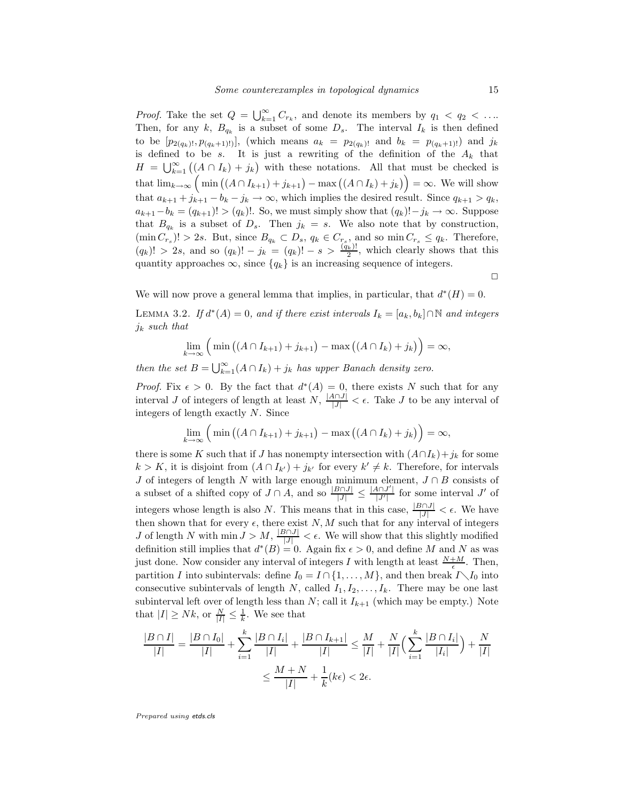*Proof.* Take the set  $Q = \bigcup_{k=1}^{\infty} C_{r_k}$ , and denote its members by  $q_1 < q_2 < \dots$ Then, for any k,  $B_{q_k}$  is a subset of some  $D_s$ . The interval  $I_k$  is then defined to be  $[p_{2(q_k)!}, p_{(q_k+1)!}]$ , (which means  $a_k = p_{2(q_k)!}$  and  $b_k = p_{(q_k+1)!}$ ) and  $j_k$ is defined to be s. It is just a rewriting of the definition of the  $A_k$  that  $H = \bigcup_{k=1}^{\infty} ((A \cap I_k) + j_k)$  with these notations. All that must be checked is that  $\lim_{k\to\infty} \left( \min \left( (A \cap I_{k+1}) + j_{k+1} \right) - \max \left( (A \cap I_k) + j_k \right) \right) = \infty$ . We will show that  $a_{k+1} + j_{k+1} - b_k - j_k \rightarrow \infty$ , which implies the desired result. Since  $q_{k+1} > q_k$ ,  $a_{k+1}-b_k = (q_{k+1})! > (q_k)!$ . So, we must simply show that  $(q_k)! - j_k \to \infty$ . Suppose that  $B_{q_k}$  is a subset of  $D_s$ . Then  $j_k = s$ . We also note that by construction,  $(\min C_{r_s})! > 2s$ . But, since  $B_{q_k} \subset D_s$ ,  $q_k \in C_{r_s}$ , and so  $\min C_{r_s} \le q_k$ . Therefore,  $(q_k)! > 2s$ , and so  $(q_k)! - j_k = (q_k)! - s > \frac{(q_k)!}{2}$ , which clearly shows that this quantity approaches  $\infty$ , since  $\{q_k\}$  is an increasing sequence of integers.

 $\Box$ 

We will now prove a general lemma that implies, in particular, that  $d^*(H) = 0$ .

LEMMA 3.2. If  $d^*(A) = 0$ , and if there exist intervals  $I_k = [a_k, b_k] \cap \mathbb{N}$  and integers  $j_k$  such that

$$
\lim_{k\to\infty}\left(\min\left((A\cap I_{k+1})+j_{k+1}\right)-\max\left((A\cap I_k)+j_k\right)\right)=\infty,
$$

then the set  $B = \bigcup_{k=1}^{\infty} (A \cap I_k) + j_k$  has upper Banach density zero.

*Proof.* Fix  $\epsilon > 0$ . By the fact that  $d^*(A) = 0$ , there exists N such that for any interval J of integers of length at least  $N$ ,  $\frac{|A \cap J|}{|J|} < \epsilon$ . Take J to be any interval of integers of length exactly N. Since

$$
\lim_{k \to \infty} \left( \min \left( (A \cap I_{k+1}) + j_{k+1} \right) - \max \left( (A \cap I_k) + j_k \right) \right) = \infty,
$$

there is some K such that if J has nonempty intersection with  $(A \cap I_k) + j_k$  for some  $k > K$ , it is disjoint from  $(A \cap I_{k'}) + j_{k'}$  for every  $k' \neq k$ . Therefore, for intervals J of integers of length N with large enough minimum element,  $J \cap B$  consists of a subset of a shifted copy of  $J \cap A$ , and so  $\frac{|B \cap J|}{|J|} \leq \frac{|A \cap J'|}{|J'|}$  for some interval  $J'$  of integers whose length is also N. This means that in this case,  $\frac{|B \cap J|}{|J|} < \epsilon$ . We have then shown that for every  $\epsilon$ , there exist N, M such that for any interval of integers J of length N with  $\min J > M$ ,  $\frac{|B \cap J|}{|J|} < \epsilon$ . We will show that this slightly modified definition still implies that  $d^*(B) = 0$ . Again fix  $\epsilon > 0$ , and define M and N as was just done. Now consider any interval of integers I with length at least  $\frac{N+M}{\epsilon}$ . Then, partition I into subintervals: define  $I_0 = I \cap \{1, ..., M\}$ , and then break  $I \setminus I_0$  into consecutive subintervals of length N, called  $I_1, I_2, \ldots, I_k$ . There may be one last subinterval left over of length less than  $N$ ; call it  $I_{k+1}$  (which may be empty.) Note that  $|I| \geq Nk$ , or  $\frac{N}{|I|} \leq \frac{1}{k}$ . We see that

$$
\frac{|B \cap I|}{|I|} = \frac{|B \cap I_0|}{|I|} + \sum_{i=1}^k \frac{|B \cap I_i|}{|I|} + \frac{|B \cap I_{k+1}|}{|I|} \le \frac{M}{|I|} + \frac{N}{|I|} \Big( \sum_{i=1}^k \frac{|B \cap I_i|}{|I_i|} \Big) + \frac{N}{|I|}
$$

$$
\le \frac{M + N}{|I|} + \frac{1}{k} (k\epsilon) < 2\epsilon.
$$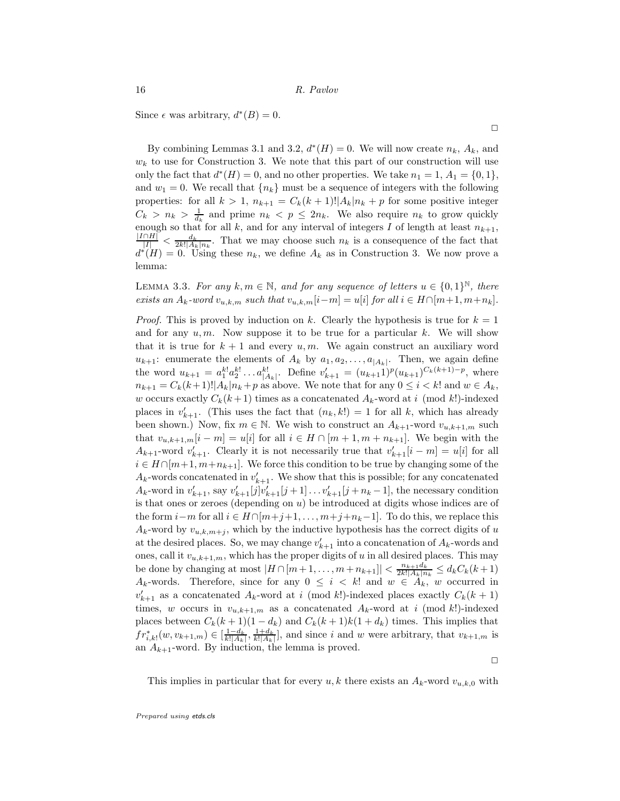Since  $\epsilon$  was arbitrary,  $d^*(B) = 0$ .

By combining Lemmas 3.1 and 3.2,  $d^*(H) = 0$ . We will now create  $n_k$ ,  $A_k$ , and  $w_k$  to use for Construction 3. We note that this part of our construction will use only the fact that  $d^*(H) = 0$ , and no other properties. We take  $n_1 = 1$ ,  $A_1 = \{0, 1\}$ , and  $w_1 = 0$ . We recall that  $\{n_k\}$  must be a sequence of integers with the following properties: for all  $k > 1$ ,  $n_{k+1} = C_k(k+1)! |A_k| n_k + p$  for some positive integer  $C_k > n_k > \frac{1}{d_k}$  and prime  $n_k < p \leq 2n_k$ . We also require  $n_k$  to grow quickly enough so that for all k, and for any interval of integers I of length at least  $n_{k+1}$ ,  $\frac{|I\cap H|}{|I|} < \frac{d_k}{2k!|A_k|n_k}$ . That we may choose such  $n_k$  is a consequence of the fact that  $d^*(H) = 0$ . Using these  $n_k$ , we define  $A_k$  as in Construction 3. We now prove a lemma:

LEMMA 3.3. For any  $k, m \in \mathbb{N}$ , and for any sequence of letters  $u \in \{0, 1\}^{\mathbb{N}}$ , there exists an  $A_k$ -word  $v_{u,k,m}$  such that  $v_{u,k,m}[i-m] = u[i]$  for all  $i \in H \cap [m+1, m+n_k]$ .

*Proof.* This is proved by induction on k. Clearly the hypothesis is true for  $k = 1$ and for any  $u, m$ . Now suppose it to be true for a particular k. We will show that it is true for  $k + 1$  and every u, m. We again construct an auxiliary word  $u_{k+1}$ : enumerate the elements of  $A_k$  by  $a_1, a_2, \ldots, a_{|A_k|}$ . Then, we again define the word  $u_{k+1} = a_1^{k!} a_2^{k!} \dots a_{|A_k|}^{k!}$ . Define  $v'_{k+1} = (u_{k+1})^p (u_{k+1})^{C_k(k+1)-p}$ , where  $n_{k+1} = C_k(k+1)! |A_k| n_k + p$  as above. We note that for any  $0 \le i \le k!$  and  $w \in A_k$ , w occurs exactly  $C_k(k+1)$  times as a concatenated  $A_k$ -word at i (mod k!)-indexed places in  $v'_{k+1}$ . (This uses the fact that  $(n_k, k!) = 1$  for all k, which has already been shown.) Now, fix  $m \in \mathbb{N}$ . We wish to construct an  $A_{k+1}$ -word  $v_{u,k+1,m}$  such that  $v_{u,k+1,m}[i-m] = u[i]$  for all  $i \in H \cap [m+1,m+n_{k+1}]$ . We begin with the  $A_{k+1}$ -word  $v'_{k+1}$ . Clearly it is not necessarily true that  $v'_{k+1}[i-m] = u[i]$  for all  $i \in H \cap [m+1, m+n_{k+1}]$ . We force this condition to be true by changing some of the  $A_k$ -words concatenated in  $v'_{k+1}$ . We show that this is possible; for any concatenated  $A_k$ -word in  $v'_{k+1}$ , say  $v'_{k+1}[j]v'_{k+1}[j+1] \ldots v'_{k+1}[j+n_k-1]$ , the necessary condition is that ones or zeroes (depending on  $u$ ) be introduced at digits whose indices are of the form  $i-m$  for all  $i \in H \cap [m+j+1,\ldots,m+j+n_k-1]$ . To do this, we replace this  $A_k$ -word by  $v_{u,k,m+j}$ , which by the inductive hypothesis has the correct digits of u at the desired places. So, we may change  $v'_{k+1}$  into a concatenation of  $A_k$ -words and ones, call it  $v_{u,k+1,m}$ , which has the proper digits of u in all desired places. This may be done by changing at most  $|H \cap [m+1,\ldots,m+n_{k+1}]| < \frac{n_{k+1}d_k}{2k!(A_k+n)}$  $\frac{n_{k+1}a_k}{2k!|A_k|n_k} \leq d_kC_k(k+1)$  $A_k$ -words. Therefore, since for any  $0 \leq i \leq k!$  and  $w \in A_k$ , w occurred in  $v'_{k+1}$  as a concatenated  $A_k$ -word at i (mod k!)-indexed places exactly  $C_k(k+1)$ times, w occurs in  $v_{u,k+1,m}$  as a concatenated  $A_k$ -word at i (mod k!)-indexed places between  $C_k(k+1)(1-d_k)$  and  $C_k(k+1)k(1+d_k)$  times. This implies that  $fr_{i,k}^*(w, v_{k+1,m}) \in \left[\frac{1-d_k}{k!|A_k|}, \frac{1+d_k}{k!|A_k|}\right]$ , and since i and w were arbitrary, that  $v_{k+1,m}$  is an  $A_{k+1}$ -word. By induction, the lemma is proved.

 $\Box$ 

This implies in particular that for every  $u, k$  there exists an  $A_k$ -word  $v_{u,k,0}$  with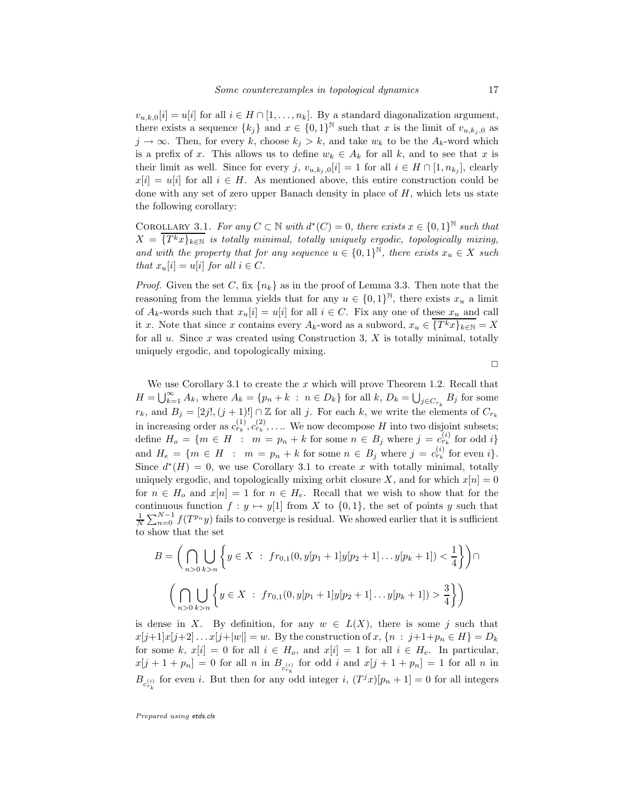$v_{u,k,0}[i] = u[i]$  for all  $i \in H \cap [1,\ldots,n_k]$ . By a standard diagonalization argument, there exists a sequence  $\{k_j\}$  and  $x \in \{0,1\}^{\mathbb{N}}$  such that x is the limit of  $v_{u,k_j,0}$  as  $j \to \infty$ . Then, for every k, choose  $k_j > k$ , and take  $w_k$  to be the  $A_k$ -word which is a prefix of x. This allows us to define  $w_k \in A_k$  for all k, and to see that x is their limit as well. Since for every j,  $v_{u,k_j,0}[i] = 1$  for all  $i \in H \cap [1, n_{k_j}]$ , clearly  $x[i] = u[i]$  for all  $i \in H$ . As mentioned above, this entire construction could be done with any set of zero upper Banach density in place of  $H$ , which lets us state the following corollary:

COROLLARY 3.1. For any  $C \subset \mathbb{N}$  with  $d^*(C) = 0$ , there exists  $x \in \{0,1\}^{\mathbb{N}}$  such that  $X = \overline{\{T^kx\}_{k\in\mathbb{N}}}$  is totally minimal, totally uniquely ergodic, topologically mixing, and with the property that for any sequence  $u \in \{0,1\}^{\mathbb{N}}$ , there exists  $x_u \in X$  such that  $x_u[i] = u[i]$  for all  $i \in C$ .

*Proof.* Given the set C, fix  $\{n_k\}$  as in the proof of Lemma 3.3. Then note that the reasoning from the lemma yields that for any  $u \in \{0,1\}^{\mathbb{N}}$ , there exists  $x_u$  a limit of  $A_k$ -words such that  $x_u[i] = u[i]$  for all  $i \in C$ . Fix any one of these  $x_u$  and call it x. Note that since x contains every  $A_k$ -word as a subword,  $x_u \in \{T^k x\}_{k\in\mathbb{N}} = X$ for all  $u$ . Since  $x$  was created using Construction 3,  $X$  is totally minimal, totally uniquely ergodic, and topologically mixing.

 $\Box$ 

We use Corollary 3.1 to create the  $x$  which will prove Theorem 1.2. Recall that  $H = \bigcup_{k=1}^{\infty} A_k$ , where  $A_k = \{p_n + k : n \in D_k\}$  for all  $k, D_k = \bigcup_{j \in C_{r_k}} B_j$  for some  $r_k$ , and  $B_j = [2j!(j+1)!] \cap \mathbb{Z}$  for all j. For each k, we write the elements of  $C_{r_k}$ in increasing order as  $c_{r_k}^{(1)}, c_{r_k}^{(2)}, \ldots$  We now decompose H into two disjoint subsets; define  $H_o = \{m \in H : m = p_n + k \text{ for some } n \in B_j \text{ where } j = c_{r_k}^{(i)} \text{ for odd } i\}$ and  $H_e = \{m \in H : m = p_n + k \text{ for some } n \in B_j \text{ where } j = c_{r_k}^{(i)} \text{ for even } i\}.$ Since  $d^*(H) = 0$ , we use Corollary 3.1 to create x with totally minimal, totally uniquely ergodic, and topologically mixing orbit closure X, and for which  $x[n] = 0$ for  $n \in H_o$  and  $x[n] = 1$  for  $n \in H_e$ . Recall that we wish to show that for the continuous function  $f : y \mapsto y[1]$  from X to  $\{0, 1\}$ , the set of points y such that  $\frac{1}{N}\sum_{n=0}^{N-1} f(T^{p_n}y)$  fails to converge is residual. We showed earlier that it is sufficient to show that the set

$$
B = \left(\bigcap_{n>0} \bigcup_{k>n} \left\{y \in X : fr_{0,1}(0, y[p_1+1]y[p_2+1] \dots y[p_k+1]) < \frac{1}{4}\right\}\right) \cap \left(\bigcap_{n>0} \bigcup_{k>n} \left\{y \in X : fr_{0,1}(0, y[p_1+1]y[p_2+1] \dots y[p_k+1]) > \frac{3}{4}\right\}\right)
$$

is dense in X. By definition, for any  $w \in L(X)$ , there is some j such that  $x[j+1]x[j+2] \dots x[j+|w|] = w$ . By the construction of  $x, \{n : j+1+p_n \in H\} = D_k$ for some k,  $x[i] = 0$  for all  $i \in H_o$ , and  $x[i] = 1$  for all  $i \in H_e$ . In particular,  $x[j+1+p_n] = 0$  for all n in  $B_{c_{r_k}^{(i)}}$  for odd i and  $x[j+1+p_n] = 1$  for all n in  $B_{c_{r_k}^{(i)}}$  for even i. But then for any odd integer i,  $(T^jx)[p_n+1] = 0$  for all integers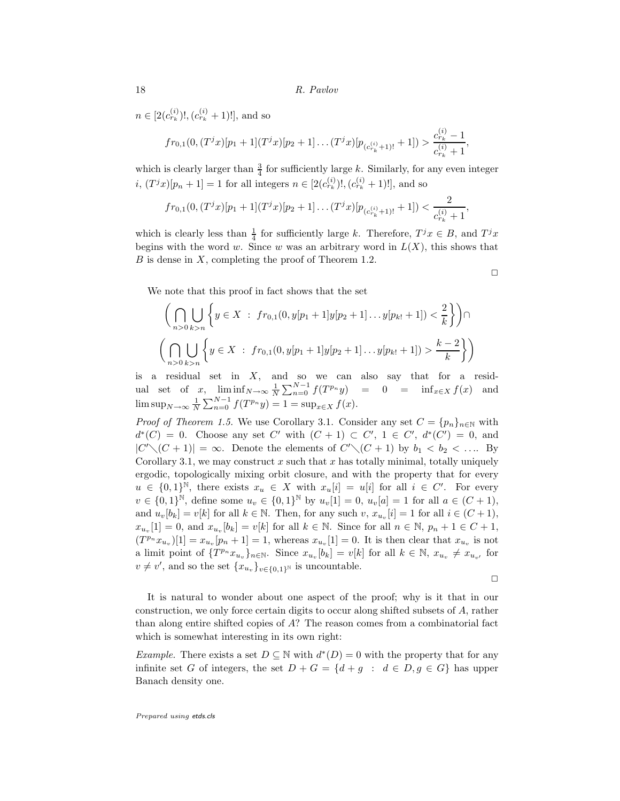$n \in [2(c_{r_k}^{(i)})!,(c_{r_k}^{(i)}+1)!]$ , and so

$$
fr_{0,1}(0,(T^{j}x)[p_1+1](T^{j}x)[p_2+1]\dots(T^{j}x)[p_{(c_{r_k}^{(i)}+1)!}+1]) > \frac{c_{r_k}^{(i)}-1}{c_{r_k}^{(i)}+1},
$$

which is clearly larger than  $\frac{3}{4}$  for sufficiently large k. Similarly, for any even integer *i*,  $(T^{j}x)[p_{n}+1]=1$  for all integers  $n \in [2(c_{r_{k}}^{(i)})!,(c_{r_{k}}^{(i)}+1)!]$ , and so

$$
fr_{0,1}(0,(T^{j}x)[p_{1}+1](T^{j}x)[p_{2}+1]\dots(T^{j}x)[p_{(c_{r_{k}}^{(i)}+1)!}+1])<\frac{2}{c_{r_{k}}^{(i)}+1},
$$

which is clearly less than  $\frac{1}{4}$  for sufficiently large k. Therefore,  $T^j x \in B$ , and  $T^j x$ begins with the word w. Since w was an arbitrary word in  $L(X)$ , this shows that  $B$  is dense in  $X$ , completing the proof of Theorem 1.2.

We note that this proof in fact shows that the set

$$
\left(\bigcap_{n>0}\bigcup_{k>n}\left\{y\in X\ :\ fr_{0,1}(0,y[p_1+1]y[p_2+1]\dots y[p_k+1]) < \frac{2}{k}\right\}\right)\cap
$$
\n
$$
\left(\bigcap_{n>0}\bigcup_{k>n}\left\{y\in X\ :\ fr_{0,1}(0,y[p_1+1]y[p_2+1]\dots y[p_k+1]) > \frac{k-2}{k}\right\}\right)
$$

is a residual set in  $X$ , and so we can also say that for a residual set of x,  $\liminf_{N \to \infty} \frac{1}{N} \sum_{n=0}^{N-1} f(T^{p_n}y) = 0 = \inf_{x \in X} f(x)$  and  $\limsup_{N \to \infty} \frac{1}{N} \sum_{n=0}^{N-1} f(T^{p_n}y) = 1 = \sup_{x \in X} f(x).$ 

*Proof of Theorem 1.5.* We use Corollary 3.1. Consider any set  $C = \{p_n\}_{n\in\mathbb{N}}$  with  $d^*(C) = 0$ . Choose any set C' with  $(C+1) \subset C'$ ,  $1 \in C'$ ,  $d^*(C') = 0$ , and  $|C'\setminus (C+1)| = \infty$ . Denote the elements of  $C'\setminus (C+1)$  by  $b_1 < b_2 < \ldots$ . By Corollary 3.1, we may construct  $x$  such that  $x$  has totally minimal, totally uniquely ergodic, topologically mixing orbit closure, and with the property that for every  $u \in \{0,1\}^{\mathbb{N}}$ , there exists  $x_u \in X$  with  $x_u[i] = u[i]$  for all  $i \in C'$ . For every  $v \in \{0,1\}^{\mathbb{N}},$  define some  $u_v \in \{0,1\}^{\mathbb{N}}$  by  $u_v[1] = 0$ ,  $u_v[a] = 1$  for all  $a \in (C+1)$ , and  $u_v[b_k] = v[k]$  for all  $k \in \mathbb{N}$ . Then, for any such  $v, x_{u_v}[i] = 1$  for all  $i \in (C + 1)$ ,  $x_{u_v}[1] = 0$ , and  $x_{u_v}[b_k] = v[k]$  for all  $k \in \mathbb{N}$ . Since for all  $n \in \mathbb{N}$ ,  $p_n + 1 \in C + 1$ ,  $(T^{p_n}x_{u_v})[1] = x_{u_v}[p_n+1] = 1$ , whereas  $x_{u_v}[1] = 0$ . It is then clear that  $x_{u_v}$  is not a limit point of  $\{T^{p_n}x_{u_v}\}_{n\in\mathbb{N}}$ . Since  $x_{u_v}[b_k] = v[k]$  for all  $k \in \mathbb{N}$ ,  $x_{u_v} \neq x_{u_{v'}}$  for  $v \neq v'$ , and so the set  $\{x_{u_v}\}_{v \in \{0,1\}^{\mathbb{N}}}$  is uncountable.

 $\Box$ 

 $\Box$ 

It is natural to wonder about one aspect of the proof; why is it that in our construction, we only force certain digits to occur along shifted subsets of A, rather than along entire shifted copies of A? The reason comes from a combinatorial fact which is somewhat interesting in its own right:

*Example*. There exists a set  $D \subseteq \mathbb{N}$  with  $d^*(D) = 0$  with the property that for any infinite set G of integers, the set  $D + G = \{d + g : d \in D, g \in G\}$  has upper Banach density one.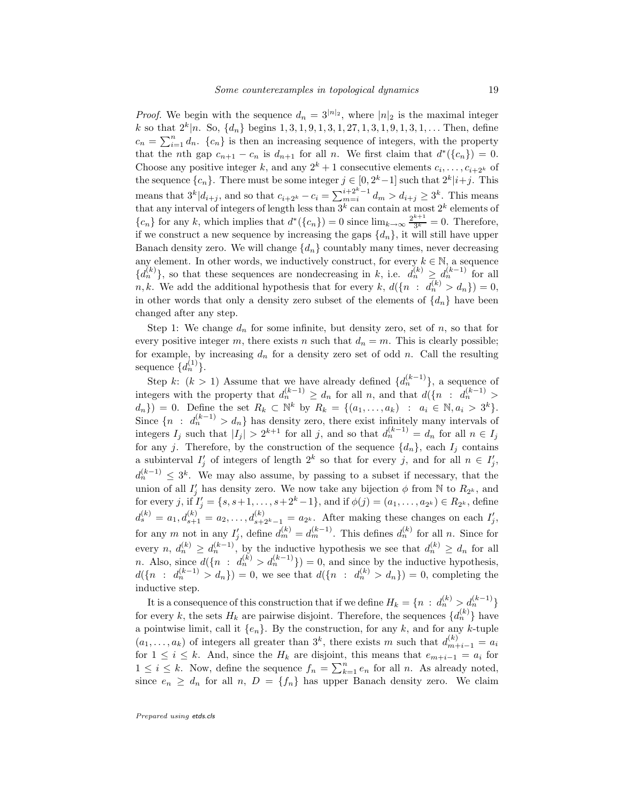*Proof.* We begin with the sequence  $d_n = 3^{|n|_2}$ , where  $|n|_2$  is the maximal integer k so that  $2^k | n$ . So,  $\{d_n\}$  begins  $1, 3, 1, 9, 1, 3, 1, 27, 1, 3, 1, 9, 1, 3, 1, \ldots$  Then, define  $c_n = \sum_{i=1}^n d_n$ .  $\{c_n\}$  is then an increasing sequence of integers, with the property that the *n*th gap  $c_{n+1} - c_n$  is  $d_{n+1}$  for all *n*. We first claim that  $d^*(\{c_n\}) = 0$ . Choose any positive integer k, and any  $2^k + 1$  consecutive elements  $c_i, \ldots, c_{i+2^k}$  of the sequence  $\{c_n\}$ . There must be some integer  $j \in [0, 2<sup>k</sup>-1]$  such that  $2<sup>k</sup>|i+j$ . This means that  $3^k | d_{i+j}$ , and so that  $c_{i+2^k} - c_i = \sum_{m=i}^{i+2^k-1} d_m > d_{i+j} \ge 3^k$ . This means that any interval of integers of length less than  $3^k$  can contain at most  $2^k$  elements of  ${c_n}$  for any k, which implies that  $d^*(c_n) = 0$  since  $\lim_{k\to\infty} \frac{2^{k+1}}{3^k} = 0$ . Therefore, if we construct a new sequence by increasing the gaps  $\{d_n\}$ , it will still have upper Banach density zero. We will change  ${d_n}$  countably many times, never decreasing any element. In other words, we inductively construct, for every  $k \in \mathbb{N}$ , a sequence  $\{d_n^{(k)}\}\$ , so that these sequences are nondecreasing in k, i.e.  $d_n^{(k)} \geq d_n^{(k-1)}$  for all n, k. We add the additional hypothesis that for every k,  $d({n : d_n^{(k)} > d_n}) = 0$ , in other words that only a density zero subset of the elements of  $\{d_n\}$  have been changed after any step.

Step 1: We change  $d_n$  for some infinite, but density zero, set of n, so that for every positive integer m, there exists n such that  $d_n = m$ . This is clearly possible; for example, by increasing  $d_n$  for a density zero set of odd n. Call the resulting sequence  $\{d_n^{(1)}\}.$ 

Step k:  $(k > 1)$  Assume that we have already defined  $\{d_n^{(k-1)}\}$ , a sequence of integers with the property that  $d_n^{(k-1)} \ge d_n$  for all n, and that  $d({n : d_n^{(k-1)} >$  $(d_n) = 0.$  Define the set  $R_k \subset \mathbb{N}^k$  by  $R_k = \{(a_1, ..., a_k) : a_i \in \mathbb{N}, a_i > 3^k\}.$ Since  $\{n : d_n^{(k-1)} > d_n\}$  has density zero, there exist infinitely many intervals of integers  $I_j$  such that  $|I_j| > 2^{k+1}$  for all j, and so that  $d_n^{(k-1)} = d_n$  for all  $n \in I_j$ for any j. Therefore, by the construction of the sequence  $\{d_n\}$ , each  $I_j$  contains a subinterval  $I'_j$  of integers of length  $2^k$  so that for every j, and for all  $n \in I'_j$ ,  $d_n^{(k-1)} \leq 3^k$ . We may also assume, by passing to a subset if necessary, that the union of all  $I'_j$  has density zero. We now take any bijection  $\phi$  from N to  $R_{2^k}$ , and for every j, if  $I'_j = \{s, s+1, \ldots, s+2^k-1\}$ , and if  $\phi(j) = (a_1, \ldots, a_{2^k}) \in R_{2^k}$ , define  $d_s^{(k)} = a_1, d_{s+1}^{(k)} = a_2, \ldots, d_{s+2^k-1}^{(k)} = a_{2^k}$ . After making these changes on each  $I'_j$ , for any m not in any  $I'_j$ , define  $d_m^{(k)} = d_m^{(k-1)}$ . This defines  $d_n^{(k)}$  for all n. Since for every  $n, d_n^{(k)} \geq d_n^{(k-1)}$ , by the inductive hypothesis we see that  $d_n^{(k)} \geq d_n$  for all *n*. Also, since  $d({n : d_n^{(k)} > d_n^{(k-1)}}) = 0$ , and since by the inductive hypothesis,  $d({n : d_n^{(k-1)} > d_n}) = 0$ , we see that  $d({n : d_n^{(k)} > d_n}) = 0$ , completing the inductive step.

It is a consequence of this construction that if we define  $H_k = \{n \, : \, d_n^{(k)} > d_n^{(k-1)}\}$ for every k, the sets  $H_k$  are pairwise disjoint. Therefore, the sequences  $\{d_n^{(k)}\}$  have a pointwise limit, call it  $\{e_n\}$ . By the construction, for any k, and for any k-tuple  $(a_1, \ldots, a_k)$  of integers all greater than  $3^k$ , there exists m such that  $d_{m+i-1}^{(k)} = a_i$ for  $1 \leq i \leq k$ . And, since the  $H_k$  are disjoint, this means that  $e_{m+i-1} = a_i$  for  $1 \leq i \leq k$ . Now, define the sequence  $f_n = \sum_{k=1}^n e_n$  for all n. As already noted, since  $e_n \geq d_n$  for all  $n, D = \{f_n\}$  has upper Banach density zero. We claim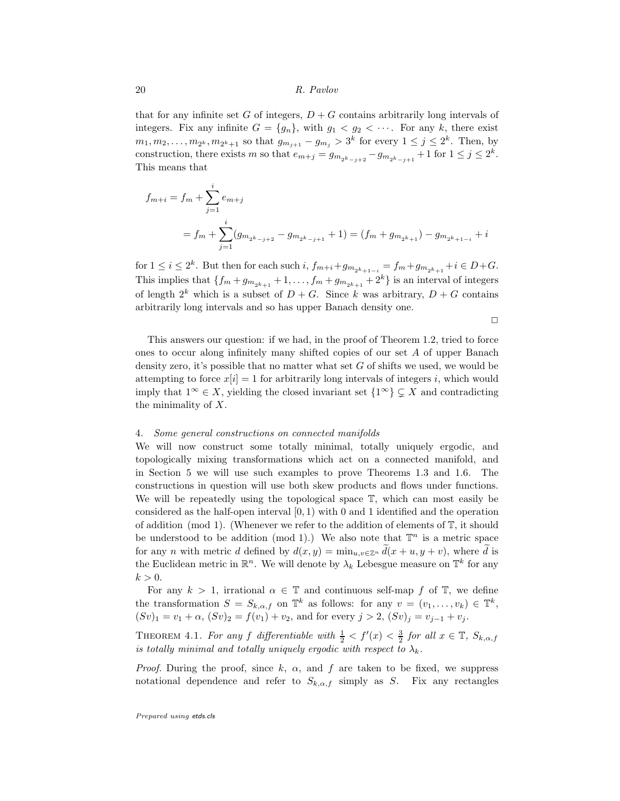that for any infinite set G of integers,  $D + G$  contains arbitrarily long intervals of integers. Fix any infinite  $G = \{g_n\}$ , with  $g_1 < g_2 < \cdots$ . For any k, there exist  $m_1, m_2, \ldots, m_{2^k}, m_{2^k+1}$  so that  $g_{m_{j+1}} - g_{m_j} > 3^k$  for every  $1 \le j \le 2^k$ . Then, by construction, there exists m so that  $e_{m+j} = g_{m_{2^k-j+2}} - g_{m_{2^k-j+1}} + 1$  for  $1 \leq j \leq 2^k$ . This means that

$$
f_{m+i} = f_m + \sum_{j=1}^{i} e_{m+j}
$$
  
=  $f_m + \sum_{j=1}^{i} (g_{m_{2^k-j+2}} - g_{m_{2^k-j+1}} + 1) = (f_m + g_{m_{2^k+1}}) - g_{m_{2^k+1-i}} + i$ 

for  $1 \le i \le 2^k$ . But then for each such  $i$ ,  $f_{m+i} + g_{m_{2^k+1-i}} = f_m + g_{m_{2^k+1}} + i \in D + G$ . This implies that  $\{f_m + g_{m_{2^k+1}} + 1, \ldots, f_m + g_{m_{2^k+1}} + 2^k\}$  is an interval of integers of length  $2^k$  which is a subset of  $D + G$ . Since k was arbitrary,  $D + G$  contains arbitrarily long intervals and so has upper Banach density one.

 $\Box$ 

This answers our question: if we had, in the proof of Theorem 1.2, tried to force ones to occur along infinitely many shifted copies of our set A of upper Banach density zero, it's possible that no matter what set  $G$  of shifts we used, we would be attempting to force  $x[i] = 1$  for arbitrarily long intervals of integers i, which would imply that  $1^{\infty} \in X$ , yielding the closed invariant set  $\{1^{\infty}\}\subsetneq X$  and contradicting the minimality of  $X$ .

#### 4. Some general constructions on connected manifolds

We will now construct some totally minimal, totally uniquely ergodic, and topologically mixing transformations which act on a connected manifold, and in Section 5 we will use such examples to prove Theorems 1.3 and 1.6. The constructions in question will use both skew products and flows under functions. We will be repeatedly using the topological space  $\mathbb{T}$ , which can most easily be considered as the half-open interval  $(0, 1)$  with 0 and 1 identified and the operation of addition (mod 1). (Whenever we refer to the addition of elements of  $\mathbb{T}$ , it should be understood to be addition (mod 1).) We also note that  $\mathbb{T}^n$  is a metric space for any *n* with metric d defined by  $d(x, y) = \min_{u,v \in \mathbb{Z}^n} \tilde{d}(x + u, y + v)$ , where  $\tilde{d}$  is the Euclidean metric in  $\mathbb{R}^n$ . We will denote by  $\lambda_k$  Lebesgue measure on  $\mathbb{T}^k$  for any  $k > 0$ .

For any  $k > 1$ , irrational  $\alpha \in \mathbb{T}$  and continuous self-map f of  $\mathbb{T}$ , we define the transformation  $S = S_{k,\alpha,f}$  on  $\mathbb{T}^k$  as follows: for any  $v = (v_1,\ldots,v_k) \in \mathbb{T}^k$ ,  $(Sv)_1 = v_1 + \alpha$ ,  $(Sv)_2 = f(v_1) + v_2$ , and for every  $j > 2$ ,  $(Sv)_j = v_{j-1} + v_j$ .

THEOREM 4.1. For any f differentiable with  $\frac{1}{2} < f'(x) < \frac{3}{2}$  for all  $x \in \mathbb{T}$ ,  $S_{k,\alpha,f}$ is totally minimal and totally uniquely ergodic with respect to  $\lambda_k$ .

*Proof.* During the proof, since k,  $\alpha$ , and f are taken to be fixed, we suppress notational dependence and refer to  $S_{k,\alpha,f}$  simply as S. Fix any rectangles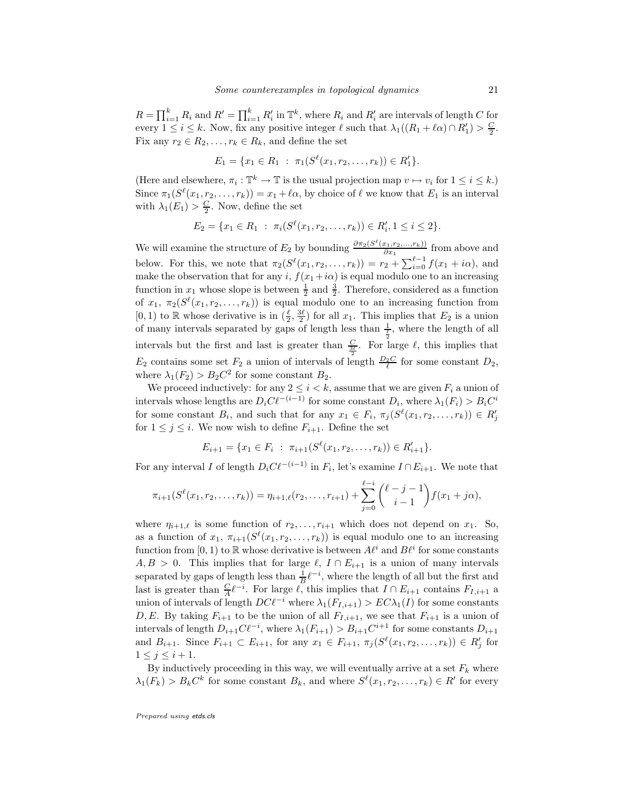$R = \prod_{i=1}^{k} R_i$  and  $R' = \prod_{i=1}^{k} R'_i$  in  $\mathbb{T}^k$ , where  $R_i$  and  $R'_i$  are intervals of length C for every  $1 \leq i \leq k$ . Now, fix any positive integer  $\ell$  such that  $\lambda_1((R_1 + \ell \alpha) \cap R'_1) > \frac{C}{2}$ . Fix any  $r_2 \in R_2, \ldots, r_k \in R_k$ , and define the set

$$
E_1 = \{x_1 \in R_1 : \pi_1(S^{\ell}(x_1, r_2, \ldots, r_k)) \in R'_1\}.
$$

(Here and elsewhere,  $\pi_i : \mathbb{T}^k \to \mathbb{T}$  is the usual projection map  $v \mapsto v_i$  for  $1 \leq i \leq k$ .) Since  $\pi_1(S^{\ell}(x_1, r_2, \ldots, r_k)) = x_1 + \ell \alpha$ , by choice of  $\ell$  we know that  $E_1$  is an interval with  $\lambda_1(E_1) > \frac{C}{2}$ . Now, define the set

$$
E_2 = \{x_1 \in R_1 : \pi_i(S^{\ell}(x_1, r_2, \dots, r_k)) \in R'_i, 1 \leq i \leq 2\}.
$$

We will examine the structure of  $E_2$  by bounding  $\frac{\partial \pi_2(S^{\ell}(x_1, r_2, ..., r_k))}{\partial x_1}$  $\frac{r_1, r_2, \ldots, r_k}{\partial x_1}$  from above and below. For this, we note that  $\pi_2(S^{\ell}(x_1, r_2, \ldots, r_k)) = r_2 + \sum_{i=0}^{\ell-1} f(x_1 + i\alpha)$ , and make the observation that for any i,  $f(x_1+i\alpha)$  is equal modulo one to an increasing function in  $x_1$  whose slope is between  $\frac{1}{2}$  and  $\frac{3}{2}$ . Therefore, considered as a function of  $x_1, \pi_2(S^{\ell}(x_1, r_2, \ldots, r_k))$  is equal modulo one to an increasing function from  $[0,1)$  to R whose derivative is in  $(\frac{\ell}{2},\frac{3\ell}{2})$  for all  $x_1$ . This implies that  $E_2$  is a union of many intervals separated by gaps of length less than  $\frac{1}{\frac{\ell}{2}}$ , where the length of all intervals but the first and last is greater than  $\frac{C}{3\ell}$ . For large  $\ell$ , this implies that  $E_2$  contains some set  $F_2$  a union of intervals of length  $\frac{D_2 C}{\ell}$  for some constant  $D_2$ , where  $\lambda_1(F_2) > B_2 C^2$  for some constant  $B_2$ .

We proceed inductively: for any  $2 \leq i \leq k$ , assume that we are given  $F_i$  a union of intervals whose lengths are  $D_i C \ell^{-(i-1)}$  for some constant  $D_i$ , where  $\lambda_1(F_i) > B_i C^i$ for some constant  $B_i$ , and such that for any  $x_1 \in F_i$ ,  $\pi_j(S^{\ell}(x_1, r_2, \ldots, r_k)) \in R'_j$ for  $1 \leq j \leq i$ . We now wish to define  $F_{i+1}$ . Define the set

$$
E_{i+1} = \{x_1 \in F_i : \pi_{i+1}(S^{\ell}(x_1, r_2, \ldots, r_k)) \in R'_{i+1}\}.
$$

For any interval I of length  $D_i C \ell^{-(i-1)}$  in  $F_i$ , let's examine  $I \cap E_{i+1}$ . We note that

$$
\pi_{i+1}(S^{\ell}(x_1,r_2,\ldots,r_k))=\eta_{i+1,\ell}(r_2,\ldots,r_{i+1})+\sum_{j=0}^{\ell-i}\binom{\ell-j-1}{i-1}f(x_1+j\alpha),
$$

where  $\eta_{i+1,\ell}$  is some function of  $r_2,\ldots,r_{i+1}$  which does not depend on  $x_1$ . So, as a function of  $x_1, \pi_{i+1}(S^{\ell}(x_1, r_2, \ldots, r_k))$  is equal modulo one to an increasing function from [0, 1) to R whose derivative is between  $A^{\ell i}$  and  $B^{\ell i}$  for some constants  $A, B > 0$ . This implies that for large  $\ell, I \cap E_{i+1}$  is a union of many intervals separated by gaps of length less than  $\frac{1}{B}l^{-i}$ , where the length of all but the first and last is greater than  $\frac{C}{A} \ell^{-i}$ . For large  $\ell$ , this implies that  $I \cap E_{i+1}$  contains  $F_{I,i+1}$  a union of intervals of length  $DC\ell^{-i}$  where  $\lambda_1(F_{I,i+1}) > EC\lambda_1(I)$  for some constants D, E. By taking  $F_{i+1}$  to be the union of all  $F_{I,i+1}$ , we see that  $F_{i+1}$  is a union of intervals of length  $D_{i+1}C\ell^{-i}$ , where  $\lambda_1(F_{i+1}) > B_{i+1}C^{i+1}$  for some constants  $D_{i+1}$ and  $B_{i+1}$ . Since  $F_{i+1} \subset E_{i+1}$ , for any  $x_1 \in F_{i+1}, \pi_j(S^{\ell}(x_1, r_2, \ldots, r_k)) \in R'_j$  for  $1\leq j\leq i+1$ .

By inductively proceeding in this way, we will eventually arrive at a set  $F_k$  where  $\lambda_1(F_k) > B_k C^k$  for some constant  $B_k$ , and where  $S^{\ell}(x_1, r_2, \ldots, r_k) \in R'$  for every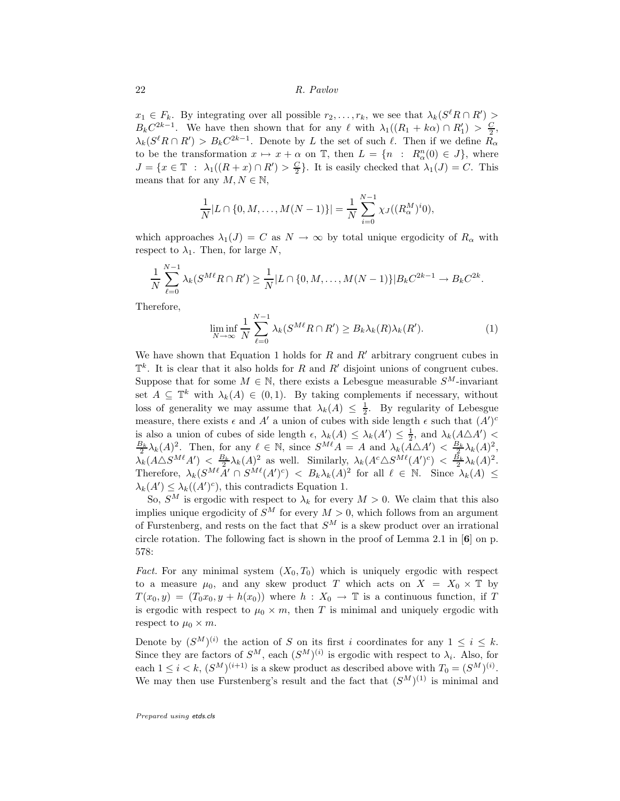$x_1 \in F_k$ . By integrating over all possible  $r_2, \ldots, r_k$ , we see that  $\lambda_k(S^{\ell}R \cap R')$  $B_k C^{2k-1}$ . We have then shown that for any  $\ell$  with  $\lambda_1((R_1 + k\alpha) \cap R'_1) > \frac{C}{2}$ ,  $\lambda_k(S^{\ell}R \cap R') > B_kC^{2k-1}$ . Denote by L the set of such  $\ell$ . Then if we define  $R_{\alpha}$ to be the transformation  $x \mapsto x + \alpha$  on  $\mathbb{T}$ , then  $L = \{n : R_{\alpha}^n(0) \in J\}$ , where  $J = \{x \in \mathbb{T} : \lambda_1((R + x) \cap R') > \frac{C}{2}\}.$  It is easily checked that  $\lambda_1(J) = C$ . This means that for any  $M, N \in \mathbb{N}$ ,

$$
\frac{1}{N}|L \cap \{0, M, \dots, M(N-1)\}| = \frac{1}{N} \sum_{i=0}^{N-1} \chi_J((R_\alpha^M)^i 0),
$$

which approaches  $\lambda_1(J) = C$  as  $N \to \infty$  by total unique ergodicity of  $R_\alpha$  with respect to  $\lambda_1$ . Then, for large N,

$$
\frac{1}{N} \sum_{\ell=0}^{N-1} \lambda_k(S^{M\ell}R \cap R') \ge \frac{1}{N} |L \cap \{0, M, \dots, M(N-1)\}| B_k C^{2k-1} \to B_k C^{2k}.
$$

Therefore,

$$
\liminf_{N \to \infty} \frac{1}{N} \sum_{\ell=0}^{N-1} \lambda_k(S^{M\ell}R \cap R') \ge B_k \lambda_k(R) \lambda_k(R'). \tag{1}
$$

We have shown that Equation 1 holds for  $R$  and  $R'$  arbitrary congruent cubes in  $\mathbb{T}^k$ . It is clear that it also holds for R and R' disjoint unions of congruent cubes. Suppose that for some  $M \in \mathbb{N}$ , there exists a Lebesgue measurable  $S^M$ -invariant set  $A \subseteq \mathbb{T}^k$  with  $\lambda_k(A) \in (0,1)$ . By taking complements if necessary, without loss of generality we may assume that  $\lambda_k(A) \leq \frac{1}{2}$ . By regularity of Lebesgue measure, there exists  $\epsilon$  and  $A'$  a union of cubes with side length  $\epsilon$  such that  $(A')^c$ is also a union of cubes of side length  $\epsilon$ ,  $\lambda_k(A) \leq \lambda_k(A') \leq \frac{1}{2}$ , and  $\lambda_k(A \triangle A')$  $\frac{B_k}{2}\lambda_k(A)^2$ . Then, for any  $\ell \in \mathbb{N}$ , since  $S^{M\ell}A = A$  and  $\lambda_k(A\triangle A') < \frac{B_k}{2}\lambda_k(A)^2$ ,  $\lambda_k(A\triangle S^{M\ell}A') < \frac{B_k}{2}\lambda_k(A)^2$  as well. Similarly,  $\lambda_k(A^c\triangle S^{M\ell}(A')^c) < \frac{B_k}{2}\lambda_k(A)^2$ . Therefore,  $\lambda_k(S^{M\ell}A' \cap S^{M\ell}(A')^c) < B_k\lambda_k(A)^2$  for all  $\ell \in \mathbb{N}$ . Since  $\lambda_k(A) \leq$  $\lambda_k(A') \leq \lambda_k((A')^c)$ , this contradicts Equation 1.

So,  $S^M$  is ergodic with respect to  $\lambda_k$  for every  $M > 0$ . We claim that this also implies unique ergodicity of  $S^M$  for every  $M > 0$ , which follows from an argument of Furstenberg, and rests on the fact that  $S^M$  is a skew product over an irrational circle rotation. The following fact is shown in the proof of Lemma 2.1 in  $[6]$  on p. 578:

Fact. For any minimal system  $(X_0, T_0)$  which is uniquely ergodic with respect to a measure  $\mu_0$ , and any skew product T which acts on  $X = X_0 \times \mathbb{T}$  by  $T(x_0, y) = (T_0x_0, y + h(x_0))$  where  $h: X_0 \to \mathbb{T}$  is a continuous function, if T is ergodic with respect to  $\mu_0 \times m$ , then T is minimal and uniquely ergodic with respect to  $\mu_0 \times m$ .

Denote by  $(S^M)^{(i)}$  the action of S on its first i coordinates for any  $1 \leq i \leq k$ . Since they are factors of  $S^M$ , each  $(S^M)^{(i)}$  is ergodic with respect to  $\lambda_i$ . Also, for each  $1 \leq i < k$ ,  $(S^M)^{(i+1)}$  is a skew product as described above with  $T_0 = (S^M)^{(i)}$ . We may then use Furstenberg's result and the fact that  $(S^M)^{(1)}$  is minimal and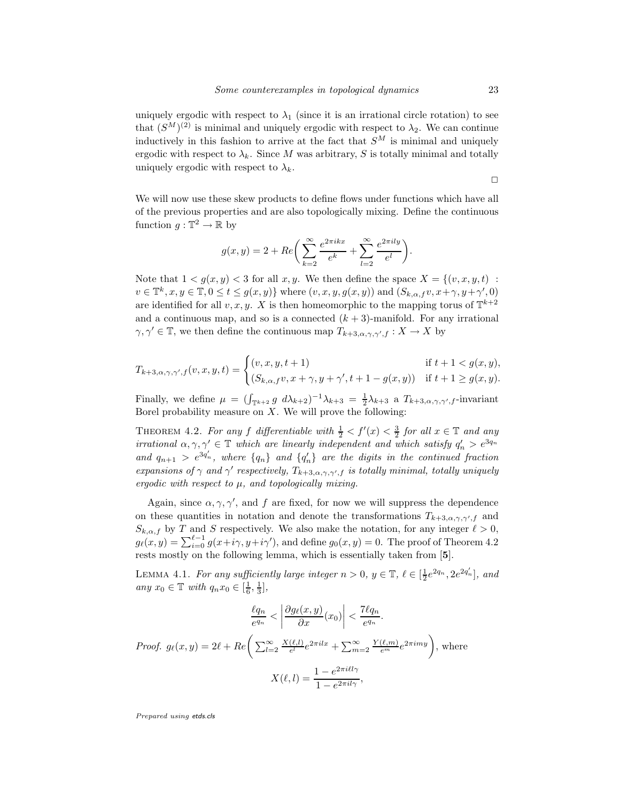uniquely ergodic with respect to  $\lambda_1$  (since it is an irrational circle rotation) to see that  $(S^M)^{(2)}$  is minimal and uniquely ergodic with respect to  $\lambda_2$ . We can continue inductively in this fashion to arrive at the fact that  $S^M$  is minimal and uniquely ergodic with respect to  $\lambda_k$ . Since M was arbitrary, S is totally minimal and totally uniquely ergodic with respect to  $\lambda_k$ .

 $\Box$ 

We will now use these skew products to define flows under functions which have all of the previous properties and are also topologically mixing. Define the continuous function  $g: \mathbb{T}^2 \to \mathbb{R}$  by

$$
g(x,y) = 2 + Re\bigg(\sum_{k=2}^{\infty} \frac{e^{2\pi i kx}}{e^k} + \sum_{l=2}^{\infty} \frac{e^{2\pi i l y}}{e^l}\bigg).
$$

Note that  $1 < g(x, y) < 3$  for all x, y. We then define the space  $X = \{(v, x, y, t)$ :  $v \in \mathbb{T}^k, x, y \in \mathbb{T}, 0 \le t \le g(x, y)$  where  $(v, x, y, g(x, y))$  and  $(S_{k, \alpha, f}v, x + \gamma, y + \gamma', 0)$ are identified for all  $v, x, y$ . X is then homeomorphic to the mapping torus of  $\mathbb{T}^{k+2}$ and a continuous map, and so is a connected  $(k+3)$ -manifold. For any irrational  $\gamma, \gamma' \in \mathbb{T}$ , we then define the continuous map  $T_{k+3,\alpha,\gamma,\gamma',f}: X \to X$  by

$$
T_{k+3,\alpha,\gamma,\gamma',f}(v,x,y,t) = \begin{cases} (v,x,y,t+1) & \text{if } t+1 < g(x,y),\\ (S_{k,\alpha,f}v,x+\gamma,y+\gamma',t+1-g(x,y)) & \text{if } t+1 \ge g(x,y). \end{cases}
$$

Finally, we define  $\mu = (\int_{\mathbb{T}^{k+2}} g \ d\lambda_{k+2})^{-1} \lambda_{k+3} = \frac{1}{2} \lambda_{k+3}$  a  $T_{k+3,\alpha,\gamma,\gamma',f}$ -invariant Borel probability measure on  $X$ . We will prove the following:

THEOREM 4.2. For any f differentiable with  $\frac{1}{2} < f'(x) < \frac{3}{2}$  for all  $x \in \mathbb{T}$  and any irrational  $\alpha, \gamma, \gamma' \in \mathbb{T}$  which are linearly independent and which satisfy  $q'_n > e^{3q_n}$ and  $q_{n+1} > e^{3q'_n}$ , where  $\{q_n\}$  and  $\{q'_n\}$  are the digits in the continued fraction expansions of  $\gamma$  and  $\gamma'$  respectively,  $T_{k+3,\alpha,\gamma,\gamma',f}$  is totally minimal, totally uniquely ergodic with respect to  $\mu$ , and topologically mixing.

Again, since  $\alpha, \gamma, \gamma'$ , and f are fixed, for now we will suppress the dependence on these quantities in notation and denote the transformations  $T_{k+3,\alpha,\gamma,\gamma',f}$  and  $S_{k,\alpha,f}$  by T and S respectively. We also make the notation, for any integer  $\ell > 0$ ,  $g_{\ell}(x,y) = \sum_{i=0}^{\ell-1} g(x+i\gamma, y+i\gamma')$ , and define  $g_0(x,y) = 0$ . The proof of Theorem 4.2 rests mostly on the following lemma, which is essentially taken from [5].

LEMMA 4.1. For any sufficiently large integer  $n > 0$ ,  $y \in \mathbb{T}$ ,  $\ell \in [\frac{1}{2}e^{2q_n}, 2e^{2q'_n}]$ , and any  $x_0 \in \mathbb{T}$  with  $q_n x_0 \in [\frac{1}{6}, \frac{1}{3}],$ 

$$
\frac{\ell q_n}{e^{q_n}} < \left| \frac{\partial g_\ell(x, y)}{\partial x}(x_0) \right| < \frac{7\ell q_n}{e^{q_n}}.
$$
\nProof.  $g_\ell(x, y) = 2\ell + Re\left(\sum_{l=2}^{\infty} \frac{X(\ell, l)}{e^l} e^{2\pi i l x} + \sum_{m=2}^{\infty} \frac{Y(\ell, m)}{e^m} e^{2\pi i m y}\right)$ , where

\n
$$
X(\ell, l) = \frac{1 - e^{2\pi i l l \gamma}}{1 - e^{2\pi i l \gamma}},
$$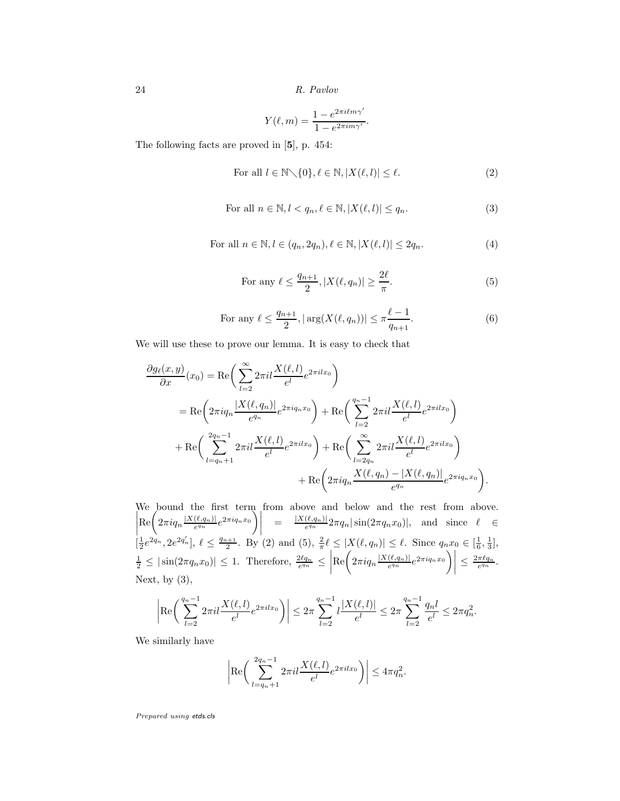$$
Y(\ell,m) = \frac{1 - e^{2\pi i \ell m \gamma'}}{1 - e^{2\pi i m \gamma'}}.
$$

The following facts are proved in [5], p. 454:

For all 
$$
l \in \mathbb{N} \setminus \{0\}, \ell \in \mathbb{N}, |X(\ell, l)| \le \ell.
$$
 (2)

For all 
$$
n \in \mathbb{N}, l < q_n, \ell \in \mathbb{N}, |X(\ell, l)| \leq q_n
$$
. 
$$
\tag{3}
$$

For all 
$$
n \in \mathbb{N}, l \in (q_n, 2q_n), \ell \in \mathbb{N}, |X(\ell, l)| \leq 2q_n.
$$
 
$$
(4)
$$

For any 
$$
\ell \leq \frac{q_{n+1}}{2}
$$
,  $|X(\ell, q_n)| \geq \frac{2\ell}{\pi}$ . (5)

For any 
$$
\ell \le \frac{q_{n+1}}{2}
$$
,  $|\arg(X(\ell, q_n))| \le \pi \frac{\ell-1}{q_{n+1}}$ . (6)

We will use these to prove our lemma. It is easy to check that

$$
\frac{\partial g_{\ell}(x,y)}{\partial x}(x_0) = \text{Re}\bigg(\sum_{l=2}^{\infty} 2\pi i l \frac{X(\ell,l)}{e^l} e^{2\pi i l x_0}\bigg)
$$
  
\n
$$
= \text{Re}\bigg(2\pi i q_n \frac{|X(\ell,q_n)|}{e^{q_n}} e^{2\pi i q_n x_0}\bigg) + \text{Re}\bigg(\sum_{l=2}^{q_n-1} 2\pi i l \frac{X(\ell,l)}{e^l} e^{2\pi i l x_0}\bigg)
$$
  
\n
$$
+ \text{Re}\bigg(\sum_{l=q_n+1}^{2q_n-1} 2\pi i l \frac{X(\ell,l)}{e^l} e^{2\pi i l x_0}\bigg) + \text{Re}\bigg(\sum_{l=2q_n}^{\infty} 2\pi i l \frac{X(\ell,l)}{e^l} e^{2\pi i l x_0}\bigg)
$$
  
\n
$$
+ \text{Re}\bigg(2\pi i q_n \frac{X(\ell,q_n) - |X(\ell,q_n)|}{e^{q_n}} e^{2\pi i q_n x_0}\bigg).
$$

We bound the first term from above and below and the rest from above.  $\begin{array}{c} \begin{array}{c} \begin{array}{c} \end{array} \\ \begin{array}{c} \end{array} \end{array} \end{array}$  $\left[\text{Re}\left(2\pi i q_n \frac{|X(\ell,q_n)|}{e^{q_n}}e^{2\pi i q_n x_0}\right)\right] = \frac{|X(\ell,q_n)|}{e^{q_n}} 2\pi q_n |\sin(2\pi q_n x_0)|$ , and since  $\ell \in$  $\left[\frac{1}{2}e^{2q_n}, 2e^{2q'_n}\right], \ell \leq \frac{q_{n+1}}{2}.$  By (2) and (5),  $\frac{2}{\pi}\ell \leq |X(\ell, q_n)| \leq \ell.$  Since  $q_nx_0 \in \left[\frac{1}{6}, \frac{1}{3}\right],$  $\frac{1}{2} \leq |\sin(2\pi q_n x_0)| \leq 1$ . Therefore,  $\frac{2\ell q_n}{e^{q_n}} \leq$   ${\rm Re}\bigg(2\pi i q_n \frac{|X(\ell,q_n)|}{e^{q_n}}e^{2\pi i q_n x_0}\bigg)\bigg|$  $\leq \frac{2\pi \ell q_n}{e^{q_n}}$ . Next, by  $(3)$ ,

$$
\left| \text{Re}\left(\sum_{l=2}^{q_n-1} 2\pi i l \frac{X(\ell,l)}{e^l} e^{2\pi i l x_0}\right) \right| \leq 2\pi \sum_{l=2}^{q_n-1} l \frac{|X(\ell,l)|}{e^l} \leq 2\pi \sum_{l=2}^{q_n-1} \frac{q_n l}{e^l} \leq 2\pi q_n^2.
$$

We similarly have

$$
\left| \text{Re}\left( \sum_{l=q_n+1}^{2q_n-1} 2\pi i l \frac{X(\ell,l)}{e^l} e^{2\pi i l x_0} \right) \right| \leq 4\pi q_n^2.
$$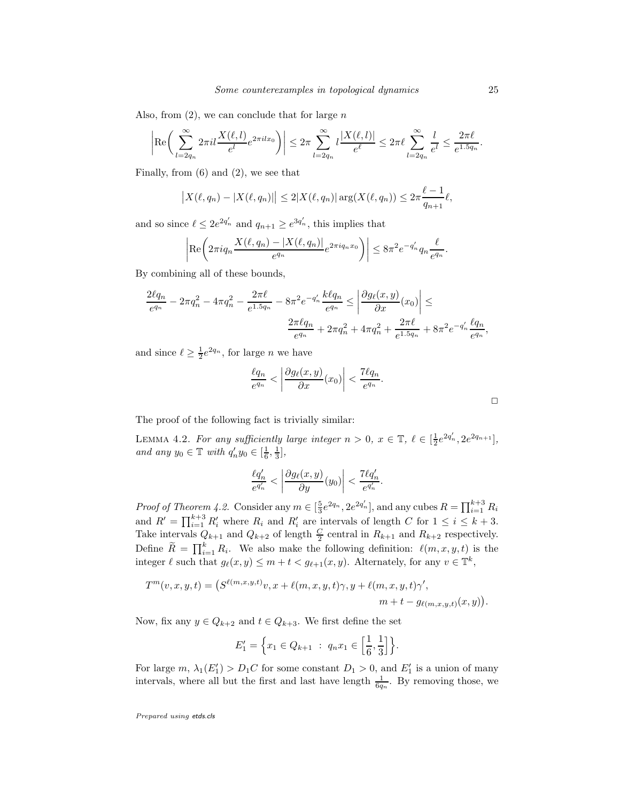Also, from  $(2)$ , we can conclude that for large n

$$
\left|\text{Re}\left(\sum_{l=2q_n}^{\infty}2\pi il\frac{X(\ell,l)}{e^l}e^{2\pi ilx_0}\right)\right|\leq 2\pi\sum_{l=2q_n}^{\infty}l\frac{|X(\ell,l)|}{e^{\ell}}\leq 2\pi\ell\sum_{l=2q_n}^{\infty}\frac{l}{e^l}\leq \frac{2\pi\ell}{e^{1.5q_n}}.
$$

Finally, from (6) and (2), we see that

$$
|X(\ell, q_n) - |X(\ell, q_n)|| \le 2|X(\ell, q_n)| \arg(X(\ell, q_n)) \le 2\pi \frac{\ell - 1}{q_{n+1}}\ell,
$$

and so since  $\ell \leq 2e^{2q'_n}$  and  $q_{n+1} \geq e^{3q'_n}$ , this implies that

$$
\left| \operatorname{Re} \left( 2\pi i q_n \frac{X(\ell, q_n) - |X(\ell, q_n)|}{e^{q_n}} e^{2\pi i q_n x_0} \right) \right| \leq 8\pi^2 e^{-q'_n} q_n \frac{\ell}{e^{q_n}}.
$$

By combining all of these bounds,

$$
\frac{2\ell q_n}{e^{q_n}} - 2\pi q_n^2 - 4\pi q_n^2 - \frac{2\pi \ell}{e^{1.5q_n}} - 8\pi^2 e^{-q_n'} \frac{k\ell q_n}{e^{q_n}} \le \left| \frac{\partial g_\ell(x, y)}{\partial x}(x_0) \right| \le
$$

$$
\frac{2\pi \ell q_n}{e^{q_n}} + 2\pi q_n^2 + 4\pi q_n^2 + \frac{2\pi \ell}{e^{1.5q_n}} + 8\pi^2 e^{-q_n'} \frac{\ell q_n}{e^{q_n}},
$$

and since  $\ell \geq \frac{1}{2}e^{2q_n}$ , for large *n* we have

$$
\frac{\ell q_n}{e^{q_n}} < \left| \frac{\partial g_\ell(x, y)}{\partial x}(x_0) \right| < \frac{7\ell q_n}{e^{q_n}}.
$$

The proof of the following fact is trivially similar:

LEMMA 4.2. For any sufficiently large integer  $n > 0$ ,  $x \in \mathbb{T}$ ,  $\ell \in [\frac{1}{2}e^{2q_n^{\ell}}, 2e^{2q_{n+1}}]$ , and any  $y_0 \in \mathbb{T}$  with  $q'_n y_0 \in [\frac{1}{6}, \frac{1}{3}],$ 

$$
\frac{\ell q'_n}{e^{q'_n}} < \left| \frac{\partial g_\ell(x,y)}{\partial y}(y_0) \right| < \frac{7\ell q'_n}{e^{q'_n}}.
$$

*Proof of Theorem 4.2.* Consider any  $m \in [\frac{5}{3}e^{2q_n}, 2e^{2q'_n}]$ , and any cubes  $R = \prod_{i=1}^{k+3} R_i$ 3 and  $R' = \prod_{i=1}^{k+3} R'_i$  where  $R_i$  and  $R'_i$  are intervals of length C for  $1 \leq i \leq k+3$ . Take intervals  $Q_{k+1}$  and  $Q_{k+2}$  of length  $\frac{C}{2}$  central in  $R_{k+1}$  and  $R_{k+2}$  respectively. Define  $\widetilde{R} = \prod_{i=1}^{k} R_i$ . We also make the following definition:  $\ell(m, x, y, t)$  is the integer  $\ell$  such that  $g_{\ell}(x, y) \leq m + t < g_{\ell+1}(x, y)$ . Alternately, for any  $v \in \mathbb{T}^k$ ,

$$
T^m(v, x, y, t) = (S^{\ell(m,x,y,t)}v, x + \ell(m,x,y,t)\gamma, y + \ell(m,x,y,t)\gamma',
$$
  

$$
m + t - g_{\ell(m,x,y,t)}(x, y)).
$$

Now, fix any  $y \in Q_{k+2}$  and  $t \in Q_{k+3}$ . We first define the set

$$
E_1' = \Big\{ x_1 \in Q_{k+1} \ : \ q_n x_1 \in \Big[\frac{1}{6}, \frac{1}{3}\Big] \Big\}.
$$

For large  $m$ ,  $\lambda_1(E'_1) > D_1C$  for some constant  $D_1 > 0$ , and  $E'_1$  is a union of many intervals, where all but the first and last have length  $\frac{1}{6q_n}$ . By removing those, we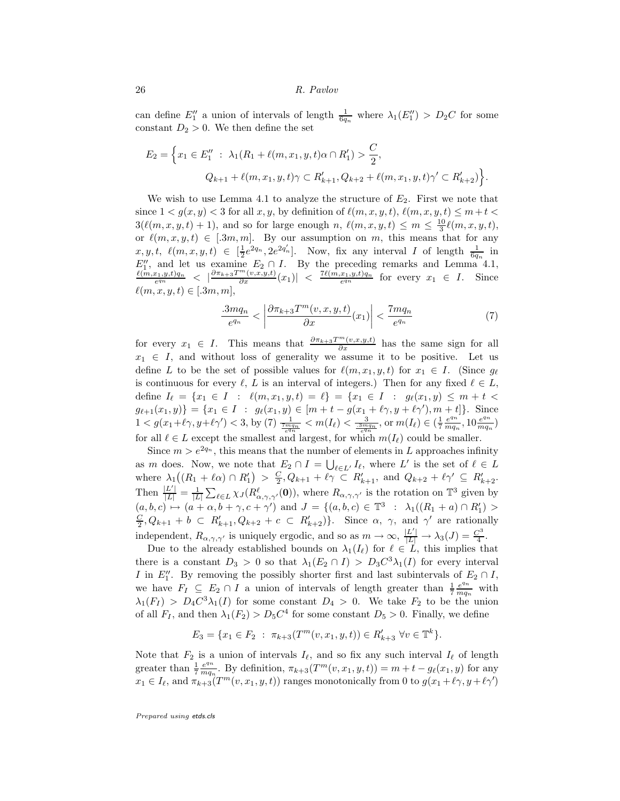can define  $E''_1$  a union of intervals of length  $\frac{1}{6q_n}$  where  $\lambda_1(E''_1) > D_2C$  for some constant  $D_2 > 0$ . We then define the set

$$
E_2 = \left\{ x_1 \in E_1'' \; : \; \lambda_1(R_1 + \ell(m, x_1, y, t)\alpha \cap R_1') > \frac{C}{2}, \right\}
$$
  

$$
Q_{k+1} + \ell(m, x_1, y, t)\gamma \subset R_{k+1}', Q_{k+2} + \ell(m, x_1, y, t)\gamma' \subset R_{k+2}' \right\}.
$$

We wish to use Lemma 4.1 to analyze the structure of  $E_2$ . First we note that since  $1 < g(x, y) < 3$  for all  $x, y$ , by definition of  $\ell(m, x, y, t)$ ,  $\ell(m, x, y, t) \leq m + t$  $3(\ell(m, x, y, t) + 1)$ , and so for large enough n,  $\ell(m, x, y, t) \leq m \leq \frac{10}{3}\ell(m, x, y, t)$ , or  $\ell(m, x, y, t) \in [3m, m]$ . By our assumption on m, this means that for any  $x, y, t, \ell(m, x, y, t) \in \left[\frac{1}{2}e^{2q_n}, 2e^{2q'_n}\right]$ . Now, fix any interval I of length  $\frac{1}{6q_n}$  in  $E''_1$ , and let us examine  $E_2 \cap I$ . By the preceding remarks and Lemma 4.1,  $\frac{\ell(m,x_1,y,t)q_n}{e^{qn}} < \left| \frac{\partial \pi_{k+3}T^m(v,x,y,t)}{\partial x}(x_1) \right| < \frac{7\ell(m,x_1,y,t)q_n}{e^{qn}}$  for every  $x_1 \in I$ . Since  $\ell(m, x, y, t) \in [.3m, m],$ 

$$
\frac{.3mq_n}{e^{q_n}} < \left| \frac{\partial \pi_{k+3}T^m(v,x,y,t)}{\partial x}(x_1) \right| < \frac{7mq_n}{e^{q_n}} \tag{7}
$$

for every  $x_1 \in I$ . This means that  $\frac{\partial \pi_{k+3}T^m(v,x,y,t)}{\partial x}$  has the same sign for all  $x_1 \in I$ , and without loss of generality we assume it to be positive. Let us define L to be the set of possible values for  $\ell(m, x_1, y, t)$  for  $x_1 \in I$ . (Since  $g_{\ell}$ is continuous for every  $\ell$ , L is an interval of integers.) Then for any fixed  $\ell \in L$ , define  $I_{\ell} = \{x_1 \in I : \ell(m, x_1, y, t) = \ell\} = \{x_1 \in I : g_{\ell}(x_1, y) \leq m + t$  $g_{\ell+1}(x_1, y) = \{x_1 \in I : g_{\ell}(x_1, y) \in [m + t - g(x_1 + \ell \gamma, y + \ell \gamma'), m + t]\}.$  Since  $1 < g(x_1+\ell\gamma, y+\ell\gamma') < 3$ , by (7)  $\frac{1}{\frac{7nq_n}{\epsilon q_n}} < m(I_\ell) < \frac{3}{\frac{3mq_n}{\epsilon q_n}}$ , or  $m(I_\ell) \in (\frac{1}{7} \frac{e^{q_n}}{mq_n})$  $\frac{e^{q_n}}{mq_n}$ ,  $10\frac{e^{q_n}}{mq_n}$  $\frac{e^{4n}}{mq_n}$ for all  $\ell \in L$  except the smallest and largest, for which  $m(I_{\ell})$  could be smaller.

Since  $m > e^{2q_n}$ , this means that the number of elements in L approaches infinity as m does. Now, we note that  $E_2 \cap I = \bigcup_{\ell \in L'} I_\ell$ , where L' is the set of  $\ell \in L$ where  $\lambda_1((R_1 + \ell \alpha) \cap R'_1) > \frac{C}{2}, Q_{k+1} + \ell \gamma \subset R'_{k+1}$ , and  $Q_{k+2} + \ell \gamma' \subseteq R'_{k+2}$ . Then  $\frac{|L'|}{|L|} = \frac{1}{|L|} \sum_{\ell \in L} \chi_J(R_{\alpha,\gamma,\gamma'}^{\ell}(\mathbf{0}))$ , where  $R_{\alpha,\gamma,\gamma'}$  is the rotation on  $\mathbb{T}^3$  given by  $(a, b, c) \mapsto (a + \alpha, b + \gamma, c + \gamma')$  and  $J = \{(a, b, c) \in \mathbb{T}^3 : \lambda_1((R_1 + a) \cap R'_1) >$  $\frac{C}{2}$ ,  $Q_{k+1} + b \subset R'_{k+1}$ ,  $Q_{k+2} + c \subset R'_{k+2}$ . Since  $\alpha$ ,  $\gamma$ , and  $\gamma'$  are rationally independent,  $R_{\alpha,\gamma,\gamma'}$  is uniquely ergodic, and so as  $m \to \infty$ ,  $\frac{|L'|}{|L|} \to \lambda_3(J) = \frac{C^3}{4}$  $\frac{1}{4}$ .

Due to the already established bounds on  $\lambda_1(I_\ell)$  for  $\ell \in L$ , this implies that there is a constant  $D_3 > 0$  so that  $\lambda_1(E_2 \cap I) > D_3 C^3 \lambda_1(I)$  for every interval I in  $E''_1$ . By removing the possibly shorter first and last subintervals of  $E_2 \cap I$ , we have  $F_I \subseteq E_2 \cap I$  a union of intervals of length greater than  $\frac{1}{7} \frac{e^{q_n}}{mq_n}$  $rac{e^{4n}}{mq_n}$  with  $\lambda_1(F_I) > D_4 C^3 \lambda_1(I)$  for some constant  $D_4 > 0$ . We take  $F_2$  to be the union of all  $F_I$ , and then  $\lambda_1(F_2) > D_5 C^4$  for some constant  $D_5 > 0$ . Finally, we define

$$
E_3 = \{x_1 \in F_2 \; : \; \pi_{k+3}(T^m(v, x_1, y, t)) \in R'_{k+3} \; \forall v \in \mathbb{T}^k\}.
$$

Note that  $F_2$  is a union of intervals  $I_\ell$ , and so fix any such interval  $I_\ell$  of length greater than  $\frac{1}{7} \frac{e^{q_n}}{mq_n}$  $\frac{e^{qn}}{mq_n}$ . By definition,  $\pi_{k+3}(T^m(v, x_1, y, t)) = m + t - g_{\ell}(x_1, y)$  for any  $x_1 \in I_\ell$ , and  $\pi_{k+3}(T^m(v, x_1, y, t))$  ranges monotonically from 0 to  $g(x_1 + \ell \gamma, y + \ell \gamma')$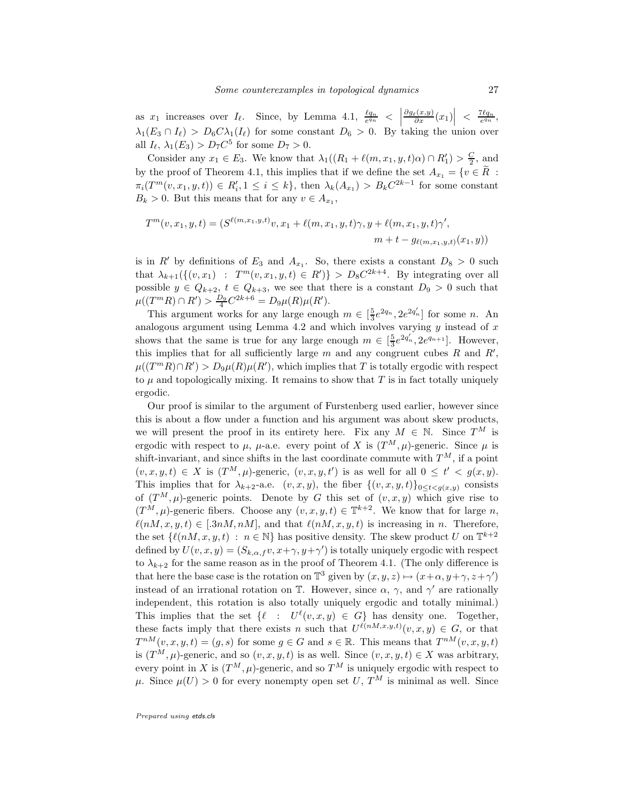as  $x_1$  increases over  $I_\ell$ . Since, by Lemma 4.1,  $\frac{\ell q_n}{e^{q_n}} <$  $\frac{\partial g_{\ell}(x,y)}{\partial x}(x_1)\Big| \ \leq \ \frac{7\ell q_n}{e^{q_n}},$  $\lambda_1(E_3 \cap I_\ell) > D_6 C \lambda_1(I_\ell)$  for some constant  $D_6 > 0$ . By taking the union over all  $I_{\ell}$ ,  $\lambda_1(E_3) > D_7 C^5$  for some  $D_7 > 0$ .

Consider any  $x_1 \in E_3$ . We know that  $\lambda_1((R_1 + \ell(m, x_1, y, t)\alpha) \cap R'_1) > \frac{C}{2}$ , and by the proof of Theorem 4.1, this implies that if we define the set  $A_{x_1} = \{v \in R :$  $\pi_i(T^m(v, x_1, y, t)) \in R'_i, 1 \leq i \leq k\},\$  then  $\lambda_k(A_{x_1}) > B_k C^{2k-1}$  for some constant  $B_k > 0$ . But this means that for any  $v \in A_{x_1}$ ,

$$
T^{m}(v, x_{1}, y, t) = (S^{\ell(m, x_{1}, y, t)}v, x_{1} + \ell(m, x_{1}, y, t)\gamma, y + \ell(m, x_{1}, y, t)\gamma',
$$
  

$$
m + t - g_{\ell(m, x_{1}, y, t)}(x_{1}, y))
$$

is in R' by definitions of  $E_3$  and  $A_{x_1}$ . So, there exists a constant  $D_8 > 0$  such that  $\lambda_{k+1}(\{(v,x_1) : T^m(v,x_1,y,t) \in R')\} > D_8 C^{2k+4}$ . By integrating over all possible  $y \in Q_{k+2}$ ,  $t \in Q_{k+3}$ , we see that there is a constant  $D_9 > 0$  such that  $\mu((T^mR)\cap R')>\frac{D_9}{4}C^{2k+6}=D_9\mu(R)\mu(R').$ 

This argument works for any large enough  $m \in \left[\frac{5}{3}e^{2q_n}, 2e^{2q'_n}\right]$  for some n. An analogous argument using Lemma 4.2 and which involves varying  $y$  instead of  $x$ shows that the same is true for any large enough  $m \in \left[\frac{5}{3}e^{2q_n'}, 2e^{q_{n+1}}\right]$ . However, this implies that for all sufficiently large  $m$  and any congruent cubes  $R$  and  $R'$ ,  $\mu((T^mR)\cap R') > D_9\mu(R)\mu(R')$ , which implies that T is totally ergodic with respect to  $\mu$  and topologically mixing. It remains to show that T is in fact totally uniquely ergodic.

Our proof is similar to the argument of Furstenberg used earlier, however since this is about a flow under a function and his argument was about skew products, we will present the proof in its entirety here. Fix any  $M \in \mathbb{N}$ . Since  $T^M$  is ergodic with respect to  $\mu$ ,  $\mu$ -a.e. every point of X is  $(T^M, \mu)$ -generic. Since  $\mu$  is shift-invariant, and since shifts in the last coordinate commute with  $T^M$ , if a point  $(v, x, y, t) \in X$  is  $(T^M, \mu)$ -generic,  $(v, x, y, t')$  is as well for all  $0 \leq t' < g(x, y)$ . This implies that for  $\lambda_{k+2}$ -a.e.  $(v, x, y)$ , the fiber  $\{(v, x, y, t)\}_{0 \leq t \leq q(x,y)}$  consists of  $(T^M, \mu)$ -generic points. Denote by G this set of  $(v, x, y)$  which give rise to  $(T^M, \mu)$ -generic fibers. Choose any  $(v, x, y, t) \in \mathbb{T}^{k+2}$ . We know that for large n,  $\ell(nM, x, y, t) \in [.3nM, nM]$ , and that  $\ell(nM, x, y, t)$  is increasing in n. Therefore, the set  $\{\ell(nM, x, y, t) : n \in \mathbb{N}\}\$  has positive density. The skew product U on  $\mathbb{T}^{k+2}$ defined by  $U(v, x, y) = (S_{k, \alpha, f}v, x + \gamma, y + \gamma')$  is totally uniquely ergodic with respect to  $\lambda_{k+2}$  for the same reason as in the proof of Theorem 4.1. (The only difference is that here the base case is the rotation on  $\mathbb{T}^3$  given by  $(x, y, z) \mapsto (x + \alpha, y + \gamma, z + \gamma')$ instead of an irrational rotation on  $\mathbb{T}$ . However, since  $\alpha$ ,  $\gamma$ , and  $\gamma'$  are rationally independent, this rotation is also totally uniquely ergodic and totally minimal.) This implies that the set  $\{\ell : U^{\ell}(v,x,y) \in G\}$  has density one. Together, these facts imply that there exists n such that  $U^{\ell(n,M,x,y,t)}(v,x,y) \in G$ , or that  $T^{nM}(v,x,y,t) = (g,s)$  for some  $g \in G$  and  $s \in \mathbb{R}$ . This means that  $T^{nM}(v,x,y,t)$ is  $(T^M, \mu)$ -generic, and so  $(v, x, y, t)$  is as well. Since  $(v, x, y, t) \in X$  was arbitrary, every point in X is  $(T^M, \mu)$ -generic, and so  $T^M$  is uniquely ergodic with respect to  $\mu$ . Since  $\mu(U) > 0$  for every nonempty open set U,  $T^M$  is minimal as well. Since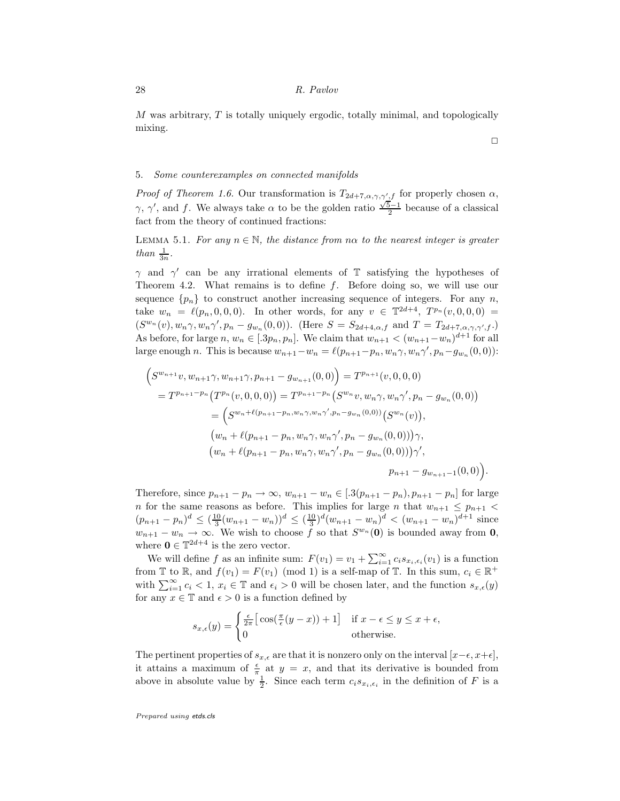M was arbitrary, T is totally uniquely ergodic, totally minimal, and topologically mixing.

#### 5. Some counterexamples on connected manifolds

*Proof of Theorem 1.6.* Our transformation is  $T_{2d+7,\alpha,\gamma,\gamma',f}$  for properly chosen  $\alpha$ ,  $γ, γ',$  and f. We always take α to be the golden ratio  $\frac{\sqrt{5}-1}{2}$  because of a classical fact from the theory of continued fractions:

LEMMA 5.1. For any  $n \in \mathbb{N}$ , the distance from n $\alpha$  to the nearest integer is greater than  $\frac{1}{3n}$ .

 $\gamma$  and  $\gamma'$  can be any irrational elements of T satisfying the hypotheses of Theorem 4.2. What remains is to define f. Before doing so, we will use our sequence  ${p_n}$  to construct another increasing sequence of integers. For any n, take  $w_n = \ell(p_n, 0, 0, 0)$ . In other words, for any  $v \in \mathbb{T}^{2d+4}$ ,  $T^{p_n}(v, 0, 0, 0) =$  $(S^{w_n}(v), w_n\gamma, w_n\gamma', p_n - g_{w_n}(0,0))$ . (Here  $S = S_{2d+4,\alpha,f}$  and  $T = T_{2d+7,\alpha,\gamma,\gamma',f}$ .) As before, for large  $n, w_n \in [3p_n, p_n]$ . We claim that  $w_{n+1} < (w_{n+1} - w_n)^{d+1}$  for all large enough *n*. This is because  $w_{n+1} - w_n = \ell(p_{n+1} - p_n, w_n \gamma, w_n \gamma', p_n - g_{w_n}(0, 0))$ :

$$
\begin{aligned}\n\left(S^{w_{n+1}}v, w_{n+1}\gamma, w_{n+1}\gamma, p_{n+1} - g_{w_{n+1}}(0,0)\right) &= T^{p_{n+1}}(v,0,0,0) \\
&= T^{p_{n+1}-p_n}\left(T^{p_n}(v,0,0,0)\right) = T^{p_{n+1}-p_n}\left(S^{w_n}v, w_n\gamma, w_n\gamma', p_n - g_{w_n}(0,0)\right) \\
&= \left(S^{w_n+\ell(p_{n+1}-p_n,w_n\gamma,w_n\gamma',p_n-g_{w_n}(0,0))}\left(S^{w_n}(v)\right),\right. \\
&\left(w_n + \ell(p_{n+1}-p_n, w_n\gamma, w_n\gamma', p_n - g_{w_n}(0,0))\right)\gamma, \\
&\left(w_n + \ell(p_{n+1}-p_n, w_n\gamma, w_n\gamma', p_n - g_{w_n}(0,0))\right)\gamma',\right. \\
&\left.p_{n+1} - g_{w_{n+1}-1}(0,0)\right).\n\end{aligned}
$$

Therefore, since  $p_{n+1} - p_n \to \infty$ ,  $w_{n+1} - w_n \in [0.3(p_{n+1} - p_n), p_{n+1} - p_n]$  for large n for the same reasons as before. This implies for large n that  $w_{n+1} \le p_{n+1}$  $(p_{n+1} - p_n)^d \leq (\frac{10}{3}(w_{n+1} - w_n))^d \leq (\frac{10}{3})^d (w_{n+1} - w_n)^d < (w_{n+1} - w_n)^{d+1}$  since  $w_{n+1} - w_n \to \infty$ . We wish to choose f so that  $S^{w_n}(0)$  is bounded away from 0, where  $\mathbf{0} \in \mathbb{T}^{2d+4}$  is the zero vector.

We will define f as an infinite sum:  $F(v_1) = v_1 + \sum_{i=1}^{\infty} c_i s_{x_i, \epsilon_i}(v_1)$  is a function from  $\mathbb T$  to  $\mathbb R$ , and  $f(v_1) = F(v_1) \pmod{1}$  is a self-map of  $\mathbb T$ . In this sum,  $c_i \in \mathbb R^+$ with  $\sum_{i=1}^{\infty} c_i < 1$ ,  $x_i \in \mathbb{T}$  and  $\epsilon_i > 0$  will be chosen later, and the function  $s_{x,\epsilon}(y)$ for any  $x \in \mathbb{T}$  and  $\epsilon > 0$  is a function defined by

$$
s_{x,\epsilon}(y) = \begin{cases} \frac{\epsilon}{2\pi} \left[ \cos(\frac{\pi}{\epsilon}(y-x)) + 1 \right] & \text{if } x - \epsilon \le y \le x + \epsilon, \\ 0 & \text{otherwise.} \end{cases}
$$

The pertinent properties of  $s_{x,\epsilon}$  are that it is nonzero only on the interval  $[x-\epsilon, x+\epsilon]$ , it attains a maximum of  $\frac{\epsilon}{\pi}$  at  $y = x$ , and that its derivative is bounded from above in absolute value by  $\frac{1}{2}$ . Since each term  $c_i s_{x_i, \epsilon_i}$  in the definition of F is a

Prepared using etds.cls

 $\Box$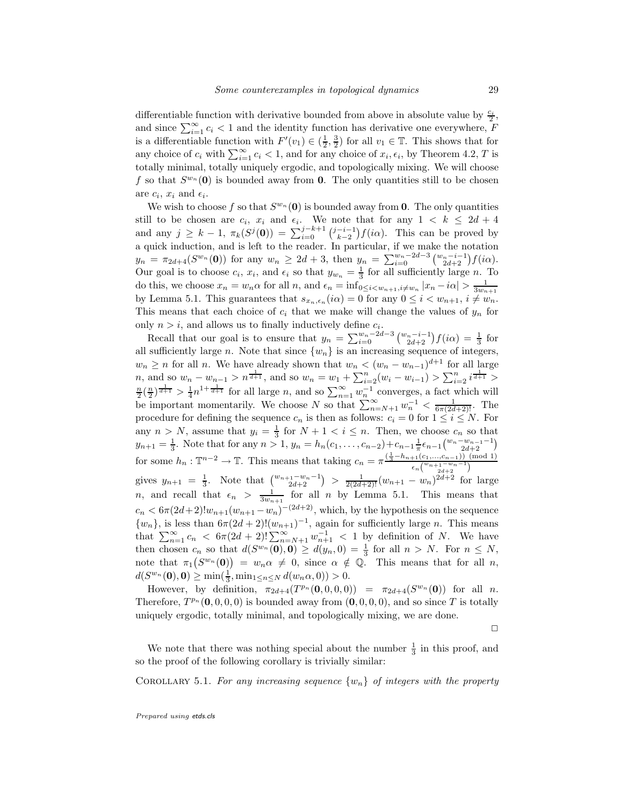differentiable function with derivative bounded from above in absolute value by  $\frac{c_i}{2}$ , and since  $\sum_{i=1}^{\infty} c_i < 1$  and the identity function has derivative one everywhere, F is a differentiable function with  $F'(v_1) \in (\frac{1}{2}, \frac{3}{2})$  for all  $v_1 \in \mathbb{T}$ . This shows that for any choice of  $c_i$  with  $\sum_{i=1}^{\infty} c_i < 1$ , and for any choice of  $x_i, \epsilon_i$ , by Theorem 4.2, T is totally minimal, totally uniquely ergodic, and topologically mixing. We will choose f so that  $S^{w_n}(0)$  is bounded away from 0. The only quantities still to be chosen are  $c_i$ ,  $x_i$  and  $\epsilon_i$ .

We wish to choose f so that  $S^{w_n}(\mathbf{0})$  is bounded away from 0. The only quantities still to be chosen are  $c_i$ ,  $x_i$  and  $\epsilon_i$ . We note that for any  $1 \leq k \leq 2d+4$ and any  $j \geq k - 1$ ,  $\pi_k(S^j(0)) = \sum_{i=0}^{j-k+1} {j-i-1 \choose k-2} f(i\alpha)$ . This can be proved by a quick induction, and is left to the reader. In particular, if we make the notation  $y_n = \pi_{2d+4}(S^{w_n}(0))$  for any  $w_n \geq 2d+3$ , then  $y_n = \sum_{i=0}^{w_n-2d-3} {\binom{w_n-i-1}{2d+2}} f(i\alpha)$ . Our goal is to choose  $c_i$ ,  $x_i$ , and  $\epsilon_i$  so that  $y_{w_n} = \frac{1}{3}$  for all sufficiently large n. To do this, we choose  $x_n = w_n \alpha$  for all n, and  $\epsilon_n = \inf_{0 \le i \le w_{n+1}, i \neq w_n} |x_n - i\alpha| > \frac{1}{3w_{n+1}}$ by Lemma 5.1. This guarantees that  $s_{x_n,\epsilon_n}(i\alpha) = 0$  for any  $0 \le i \le w_{n+1}, i \ne w_n$ . This means that each choice of  $c_i$  that we make will change the values of  $y_n$  for only  $n > i$ , and allows us to finally inductively define  $c_i$ .

Recall that our goal is to ensure that  $y_n = \sum_{i=0}^{w_n-2d-3} {\binom{w_n-i-1}{2d+2}} f(i\alpha) = \frac{1}{3}$  for all sufficiently large n. Note that since  $\{w_n\}$  is an increasing sequence of integers,  $w_n \ge n$  for all n. We have already shown that  $w_n \le (w_n - w_{n-1})^{d+1}$  for all large n, and so  $w_n - w_{n-1} > n^{\frac{1}{d+1}}$ , and so  $w_n = w_1 + \sum_{i=2}^n (w_i - w_{i-1}) > \sum_{i=2}^n i^{\frac{1}{d+1}} >$  $\frac{n}{2}(\frac{n}{2})^{\frac{1}{d+1}} > \frac{1}{4}n^{1+\frac{1}{d+1}}$  for all large n, and so  $\sum_{n=1}^{\infty} w_n^{-1}$  converges, a fact which will be important momentarily. We choose N so that  $\sum_{n=N+1}^{\infty} w_n^{-1} < \frac{1}{6\pi(2d+2)!}$ . The procedure for defining the sequence  $c_n$  is then as follows:  $c_i = 0$  for  $1 \leq i \leq N$ . For any  $n > N$ , assume that  $y_i = \frac{1}{3}$  for  $N + 1 < i \leq n$ . Then, we choose  $c_n$  so that  $y_{n+1} = \frac{1}{3}$ . Note that for any  $n > 1$ ,  $y_n = h_n(c_1, \ldots, c_{n-2}) + c_{n-1} \frac{1}{\pi} \epsilon_{n-1} {w_n - w_{n-1} - 1 \choose 2d+2}$ 3. There are not any  $n > 1$ ,  $y_n = n_n(c_1, \ldots, c_{n-2}) + c_{n-1} \pi$ for some  $h_n: \mathbb{T}^{n-2} \to \mathbb{T}$ . This means that taking  $c_n = \pi \frac{\left(\frac{1}{3} - h_{n+1}(c_1, \ldots, c_{n-1})\right) \pmod{1}}{\left(\frac{w_{n+1} - w_n - 1}{2}\right)}$  $\epsilon_n\binom{w_{n+1-w_{n}-1}}{2d+2}$ gives  $y_{n+1} = \frac{1}{3}$ . Note that  $\binom{w_{n+1}-w_n-1}{2d+2} > \frac{1}{2(2d+2)!}(w_{n+1}-w_n)^{2d+2}$  for large *n*, and recall that  $\epsilon_n > \frac{1}{3w_{n+1}}$  for all *n* by Lemma 5.1. This means that  $c_n < 6\pi(2d+2)!w_{n+1}(w_{n+1}-w_n)^{-(2d+2)}$ , which, by the hypothesis on the sequence  $\{w_n\}$ , is less than  $6\pi(2d+2)!(w_{n+1})^{-1}$ , again for sufficiently large n. This means that  $\sum_{n=1}^{\infty} c_n < 6\pi(2d+2)! \sum_{n=N+1}^{\infty} w_{n+1}^{-1} < 1$  by definition of N. We have then chosen  $c_n$  so that  $d(S^{w_n}(0), 0) \ge d(y_n, 0) = \frac{1}{3}$  for all  $n > N$ . For  $n \le N$ , note that  $\pi_1(S^{w_n}(0)) = w_n \alpha \neq 0$ , since  $\alpha \notin \mathbb{Q}$ . This means that for all n,  $d(S^{w_n}(0), 0) \ge \min(\frac{1}{3}, \min_{1 \le n \le N} d(w_n \alpha, 0)) > 0.$ 

However, by definition,  $\pi_{2d+4}(T^{p_n}(0,0,0,0)) = \pi_{2d+4}(S^{w_n}(0))$  for all n. Therefore,  $T^{p_n}(\mathbf{0}, 0, 0, 0)$  is bounded away from  $(\mathbf{0}, 0, 0, 0)$ , and so since T is totally uniquely ergodic, totally minimal, and topologically mixing, we are done.

 $\Box$ 

We note that there was nothing special about the number  $\frac{1}{3}$  in this proof, and so the proof of the following corollary is trivially similar:

COROLLARY 5.1. For any increasing sequence  $\{w_n\}$  of integers with the property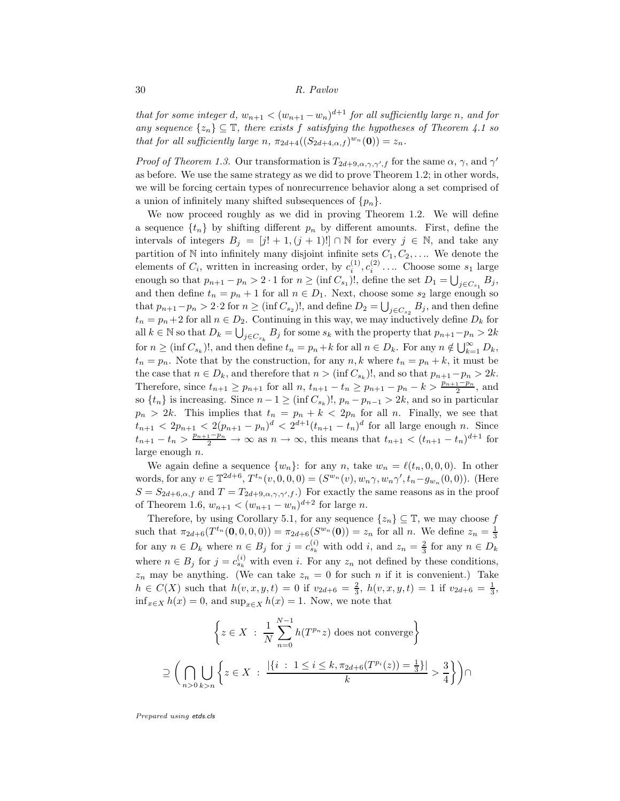that for some integer d,  $w_{n+1} < (w_{n+1} - w_n)^{d+1}$  for all sufficiently large n, and for any sequence  $\{z_n\} \subseteq \mathbb{T}$ , there exists f satisfying the hypotheses of Theorem 4.1 so that for all sufficiently large n,  $\pi_{2d+4}((S_{2d+4,\alpha,f})^{w_n}(\mathbf{0}))=z_n$ .

*Proof of Theorem 1.3.* Our transformation is  $T_{2d+9,\alpha,\gamma,\gamma',f}$  for the same  $\alpha, \gamma$ , and  $\gamma'$ as before. We use the same strategy as we did to prove Theorem 1.2; in other words, we will be forcing certain types of nonrecurrence behavior along a set comprised of a union of infinitely many shifted subsequences of  $\{p_n\}$ .

We now proceed roughly as we did in proving Theorem 1.2. We will define a sequence  $\{t_n\}$  by shifting different  $p_n$  by different amounts. First, define the intervals of integers  $B_j = [j! + 1, (j + 1)!] \cap \mathbb{N}$  for every  $j \in \mathbb{N}$ , and take any partition of N into infinitely many disjoint infinite sets  $C_1, C_2, \ldots$  We denote the elements of  $C_i$ , written in increasing order, by  $c_i^{(1)}, c_i^{(2)} \dots$  Choose some  $s_1$  large enough so that  $p_{n+1} - p_n > 2 \cdot 1$  for  $n \geq (\inf C_{s_1})!$ , define the set  $D_1 = \bigcup_{j \in C_{s_1}} B_j$ , and then define  $t_n = p_n + 1$  for all  $n \in D_1$ . Next, choose some  $s_2$  large enough so that  $p_{n+1}-p_n > 2 \cdot 2$  for  $n \geq (\inf C_{s_2})!$ , and define  $D_2 = \bigcup_{j \in C_{s_2}} B_j$ , and then define  $t_n = p_n + 2$  for all  $n \in D_2$ . Continuing in this way, we may inductively define  $D_k$  for all  $k \in \mathbb{N}$  so that  $D_k = \bigcup_{j \in C_{s_k}} B_j$  for some  $s_k$  with the property that  $p_{n+1} - p_n > 2k$ for  $n \geq (\inf C_{s_k})!$ , and then define  $t_n = p_n + k$  for all  $n \in D_k$ . For any  $n \notin \bigcup_{k=1}^{\infty} D_k$ ,  $t_n = p_n$ . Note that by the construction, for any  $n, k$  where  $t_n = p_n + k$ , it must be the case that  $n \in D_k$ , and therefore that  $n > (\inf C_{s_k})!$ , and so that  $p_{n+1}-p_n > 2k$ . Therefore, since  $t_{n+1} \ge p_{n+1}$  for all  $n, t_{n+1} - t_n \ge p_{n+1} - p_n - k > \frac{p_{n+1} - p_n}{2}$ , and  $2 \text{ so } \{t_n\} \text{ is increasing. Since } n-1 \geq (\inf C_{s_k})!$ ,  $p_n - p_{n-1} > 2k$ , and so in particular  $p_n > 2k$ . This implies that  $t_n = p_n + k < 2p_n$  for all n. Finally, we see that  $t_{n+1} < 2p_{n+1} < 2(p_{n+1} - p_n)^d < 2^{d+1}(t_{n+1} - t_n)^d$  for all large enough n. Since  $t_{n+1} - t_n > \frac{p_{n+1} - p_n}{2} \to \infty$  as  $n \to \infty$ , this means that  $t_{n+1} < (t_{n+1} - t_n)^{d+1}$  for large enough n.

We again define a sequence  $\{w_n\}$ : for any n, take  $w_n = \ell(t_n, 0, 0, 0)$ . In other words, for any  $v \in \mathbb{T}^{2d+6}$ ,  $T^{t_n}(v, 0, 0, 0) = (S^{w_n}(v), w_n \gamma, w_n \gamma', t_n - g_{w_n}(0, 0))$ . (Here  $S = S_{2d+6,\alpha,f}$  and  $T = T_{2d+9,\alpha,\gamma,\gamma',f}$ . For exactly the same reasons as in the proof of Theorem 1.6,  $w_{n+1} < (w_{n+1} - w_n)^{d+2}$  for large *n*.

Therefore, by using Corollary 5.1, for any sequence  $\{z_n\} \subseteq \mathbb{T}$ , we may choose f such that  $\pi_{2d+6}(T^{t_n}(0,0,0,0)) = \pi_{2d+6}(S^{w_n}(0)) = z_n$  for all n. We define  $z_n = \frac{1}{3}$ for any  $n \in D_k$  where  $n \in B_j$  for  $j = c_{s_k}^{(i)}$  with odd i, and  $z_n = \frac{2}{3}$  for any  $n \in D_k$ where  $n \in B_j$  for  $j = c_{s_k}^{(i)}$  with even i. For any  $z_n$  not defined by these conditions,  $z_n$  may be anything. (We can take  $z_n = 0$  for such n if it is convenient.) Take  $h \in C(X)$  such that  $h(v, x, y, t) = 0$  if  $v_{2d+6} = \frac{2}{3}$ ,  $h(v, x, y, t) = 1$  if  $v_{2d+6} = \frac{1}{3}$ ,  $\inf_{x \in X} h(x) = 0$ , and  $\sup_{x \in X} h(x) = 1$ . Now, we note that

$$
\left\{ z \in X \; : \; \frac{1}{N} \sum_{n=0}^{N-1} h(T^{p_n} z) \text{ does not converge} \right\}
$$
  

$$
\supseteq \left( \bigcap_{n>0} \bigcup_{k>n} \left\{ z \in X \; : \; \frac{|\{i \; : \; 1 \le i \le k, \pi_{2d+6}(T^{p_i}(z)) = \frac{1}{3}\}|}{k} > \frac{3}{4} \right\} \right) \cap
$$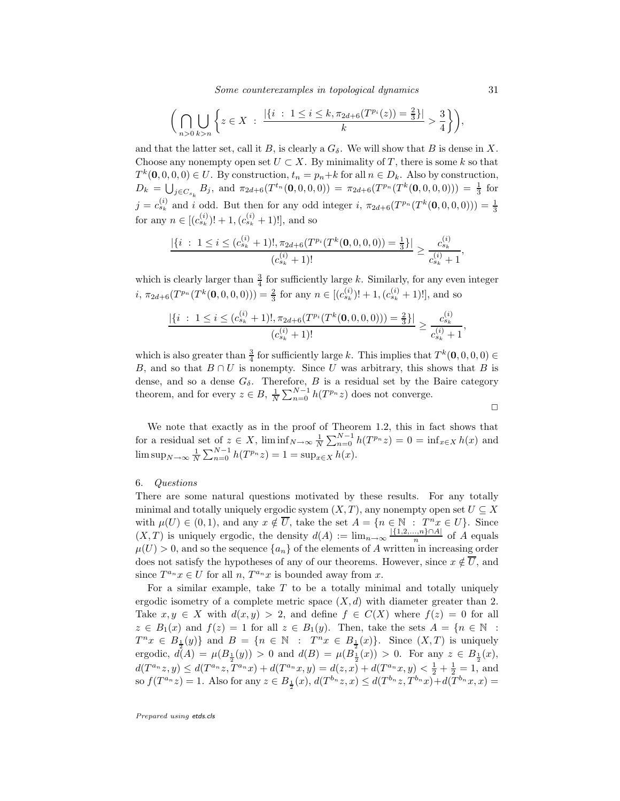Some counterexamples in topological dynamics 31

$$
\bigg(\bigcap_{n>0}\bigcup_{k>n}\bigg\{z\in X\;:\;\frac{|\{i\;:\;1\leq i\leq k,\pi_{2d+6}(T^{p_i}(z))=\frac{2}{3}\}|}{k}>\frac{3}{4}\bigg\}\bigg),
$$

and that the latter set, call it B, is clearly a  $G_{\delta}$ . We will show that B is dense in X. Choose any nonempty open set  $U \subset X$ . By minimality of T, there is some k so that  $T^k(\mathbf{0},0,0,0) \in U$ . By construction,  $t_n = p_n + k$  for all  $n \in D_k$ . Also by construction,  $D_k = \bigcup_{j \in C_{s_k}} B_j$ , and  $\pi_{2d+6}(T^{t_n}(\mathbf{0}, 0, 0, 0)) = \pi_{2d+6}(T^{p_n}(T^k(\mathbf{0}, 0, 0, 0))) = \frac{1}{3}$  for  $j = c_{s_k}^{(i)}$  and i odd. But then for any odd integer i,  $\pi_{2d+6}(T^{p_n}(T^k(0,0,0,0))) = \frac{1}{3}$ for any  $n \in [(c_{s_k}^{(i)})! + 1, (c_{s_k}^{(i)} + 1)!]$ , and so

$$
\frac{|\{i \; : \; 1 \leq i \leq (c_{s_k}^{(i)} + 1)!, \pi_{2d+6}(T^{p_i}(T^k(\mathbf{0}, 0, 0, 0)) = \frac{1}{3}\}|}{(c_{s_k}^{(i)} + 1)!} \geq \frac{c_{s_k}^{(i)}}{c_{s_k}^{(i)} + 1}
$$

which is clearly larger than  $\frac{3}{4}$  for sufficiently large k. Similarly, for any even integer  $i, \pi_{2d+6}(T^{p_n}(T^k(0,0,0,0))) = \frac{2}{3}$  for any  $n \in [(c_{s_k}^{(i)})! + 1, (c_{s_k}^{(i)} + 1)!]$ , and so

$$
\frac{|\{i \ : \ 1 \le i \le (c_{s_k}^{(i)} + 1)!, \pi_{2d+6}(T^{p_i}(T^k(\mathbf{0}, 0, 0, 0))) = \frac{2}{3}\}|}{(c_{s_k}^{(i)} + 1)!} \ge \frac{c_{s_k}^{(i)}}{c_{s_k}^{(i)} + 1},
$$

which is also greater than  $\frac{3}{4}$  for sufficiently large k. This implies that  $T^k(\mathbf{0},0,0,0) \in$ B, and so that  $B \cap U$  is nonempty. Since U was arbitrary, this shows that B is dense, and so a dense  $G_{\delta}$ . Therefore, B is a residual set by the Baire category theorem, and for every  $z \in B$ ,  $\frac{1}{N} \sum_{n=0}^{N-1} h(T^{p_n}z)$  does not converge.

$$
\qquad \qquad \Box
$$

We note that exactly as in the proof of Theorem 1.2, this in fact shows that for a residual set of  $z \in X$ ,  $\liminf_{N \to \infty} \frac{1}{N} \sum_{n=0}^{N-1} h(T^{p_n}z) = 0 = \inf_{x \in X} h(x)$  and  $\limsup_{N \to \infty} \frac{1}{N} \sum_{n=0}^{N-1} h(T^{p_n}z) = 1 = \sup_{x \in X} h(x).$ 

#### 6. Questions

There are some natural questions motivated by these results. For any totally minimal and totally uniquely ergodic system  $(X, T)$ , any nonempty open set  $U \subseteq X$ with  $\mu(U) \in (0,1)$ , and any  $x \notin \overline{U}$ , take the set  $A = \{n \in \mathbb{N} : T^n x \in U\}$ . Since  $(X, T)$  is uniquely ergodic, the density  $d(A) := \lim_{n \to \infty} \frac{|\{1, 2, ..., n\} \cap A|}{n}$  of A equals  $\mu(U) > 0$ , and so the sequence  $\{a_n\}$  of the elements of A written in increasing order does not satisfy the hypotheses of any of our theorems. However, since  $x \notin \overline{U}$ , and since  $T^{a_n}x \in U$  for all  $n, T^{a_n}x$  is bounded away from x.

For a similar example, take  $T$  to be a totally minimal and totally uniquely ergodic isometry of a complete metric space  $(X, d)$  with diameter greater than 2. Take  $x, y \in X$  with  $d(x, y) > 2$ , and define  $f \in C(X)$  where  $f(z) = 0$  for all  $z \in B_1(x)$  and  $f(z) = 1$  for all  $z \in B_1(y)$ . Then, take the sets  $A = \{n \in \mathbb{N} :$  $T^n x \in B_{\frac{1}{2}}(y) \}$  and  $B = \{ n \in \mathbb{N} : T^n x \in B_{\frac{1}{2}}(x) \}$ . Since  $(X, T)$  is uniquely ergodic,  $d(A) = \mu(B_{\perp}(y)) > 0$  and  $d(B) = \mu(B_{\perp}(x)) > 0$ . For any  $z \in B_{\perp}(x)$ ,  $d(T^{a_n}z, y) \leq d(T^{a_n}z, T^{a_n}x) + d(T^{a_n}x, y) = d(z, x) + d(T^{a_n}x, y) < \frac{1}{2} + \frac{1}{2} = 1$ , and so  $f(T^{a_n}z) = 1$ . Also for any  $z \in B_{\frac{1}{2}}(x)$ ,  $d(T^{b_n}z, x) \le d(T^{b_n}z, T^{b_n}x) + d(T^{b_n}x, x) =$ 

Prepared using etds.cls

,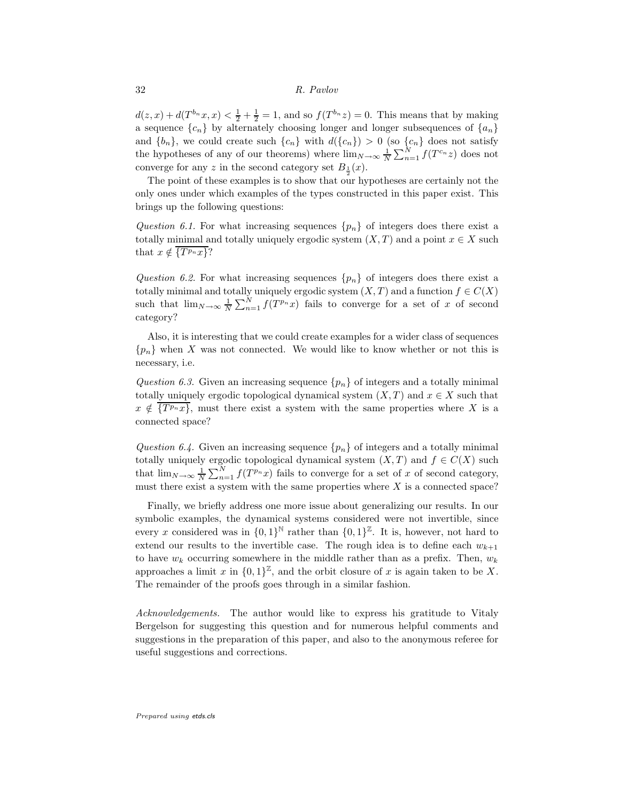$d(z, x) + d(T^{b_n}x, x) < \frac{1}{2} + \frac{1}{2} = 1$ , and so  $f(T^{b_n}z) = 0$ . This means that by making a sequence  ${c_n}$  by alternately choosing longer and longer subsequences of  ${a_n}$ and  $\{b_n\}$ , we could create such  $\{c_n\}$  with  $d(\{c_n\}) > 0$  (so  $\{c_n\}$  does not satisfy the hypotheses of any of our theorems) where  $\lim_{N\to\infty}\frac{1}{N}\sum_{n=1}^{N}f(T^{c_n}z)$  does not converge for any z in the second category set  $B_{\frac{1}{2}}(x)$ .

The point of these examples is to show that our hypotheses are certainly not the only ones under which examples of the types constructed in this paper exist. This brings up the following questions:

Question 6.1. For what increasing sequences  $\{p_n\}$  of integers does there exist a totally minimal and totally uniquely ergodic system  $(X, T)$  and a point  $x \in X$  such that  $x \notin \overline{\{T^{p_n}x\}}$ ?

Question 6.2. For what increasing sequences  $\{p_n\}$  of integers does there exist a totally minimal and totally uniquely ergodic system  $(X, T)$  and a function  $f \in C(X)$ such that  $\lim_{N\to\infty}\frac{1}{N}\sum_{n=1}^{N}f(T^{p_n}x)$  fails to converge for a set of x of second category?

Also, it is interesting that we could create examples for a wider class of sequences  ${p_n}$  when X was not connected. We would like to know whether or not this is necessary, i.e.

Question 6.3. Given an increasing sequence  $\{p_n\}$  of integers and a totally minimal totally uniquely ergodic topological dynamical system  $(X, T)$  and  $x \in X$  such that  $x \notin \overline{\{T^{p_n}x\}}$ , must there exist a system with the same properties where X is a connected space?

Question 6.4. Given an increasing sequence  $\{p_n\}$  of integers and a totally minimal totally uniquely ergodic topological dynamical system  $(X, T)$  and  $f \in C(X)$  such that  $\lim_{N\to\infty}\frac{1}{N}\sum_{n=1}^{N}f(T^{p_n}x)$  fails to converge for a set of x of second category, must there exist a system with the same properties where  $X$  is a connected space?

Finally, we briefly address one more issue about generalizing our results. In our symbolic examples, the dynamical systems considered were not invertible, since every x considered was in  $\{0,1\}^{\mathbb{N}}$  rather than  $\{0,1\}^{\mathbb{Z}}$ . It is, however, not hard to extend our results to the invertible case. The rough idea is to define each  $w_{k+1}$ to have  $w_k$  occurring somewhere in the middle rather than as a prefix. Then,  $w_k$ approaches a limit x in  $\{0,1\}^{\mathbb{Z}}$ , and the orbit closure of x is again taken to be X. The remainder of the proofs goes through in a similar fashion.

Acknowledgements. The author would like to express his gratitude to Vitaly Bergelson for suggesting this question and for numerous helpful comments and suggestions in the preparation of this paper, and also to the anonymous referee for useful suggestions and corrections.